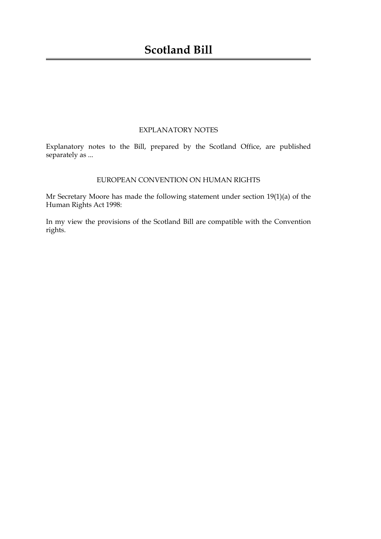### EXPLANATORY NOTES

Explanatory notes to the Bill, prepared by the Scotland Office, are published separately as ...

### EUROPEAN CONVENTION ON HUMAN RIGHTS

Mr Secretary Moore has made the following statement under section 19(1)(a) of the Human Rights Act 1998:

In my view the provisions of the Scotland Bill are compatible with the Convention rights.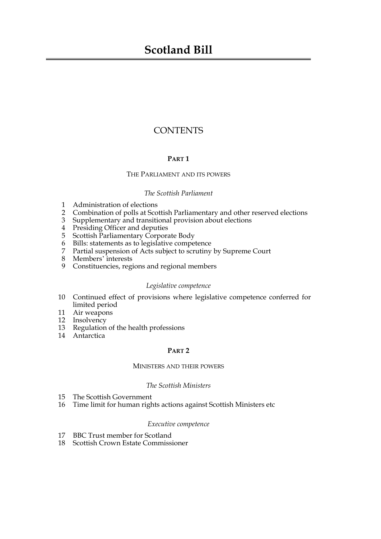## **Scotland Bill**

### **CONTENTS**

### **PART 1**

### THE PARLIAMENT AND ITS POWERS

### *The Scottish Parliament*

- [1 Administration of elections](#page-6-0)
- [2 Combination of polls at Scottish Parliamentary and other reserved elections](#page-7-0)
- [3 Supplementary and transitional provision about elections](#page-8-0)
- [4 Presiding Officer and deputies](#page-9-0)
- [5 Scottish Parliamentary Corporate Body](#page-9-1)
- [6 Bills: statements as to legislative competence](#page-9-2)
- Partial suspension of Acts subject to scrutiny by Supreme Court
- 
- 7 Partial suspensionals<br>8 Members' interests [9 Constituencies, regions and regional members](#page-12-0)

### *Legislative competence*

- [10 Continued effect of provisions where legislative competence conferred for](#page-12-1) limited period
- [11 Air weapons](#page-12-2)
- [12 Insolvency](#page-12-3)
- [13 Regulation of the health professions](#page-13-0)
- [14 Antarctica](#page-14-0)

### **PART 2**

### MINISTERS AND THEIR POWERS

### *The Scottish Ministers*

- [15 The Scottish Government](#page-14-1)
- [16 Time limit for human rights actions against Scottish Ministers etc](#page-14-2)

### *Executive competence*

- [17 BBC Trust member for Scotland](#page-15-0)
- 18 [Scottish Crown Estate Commissioner](#page-16-0)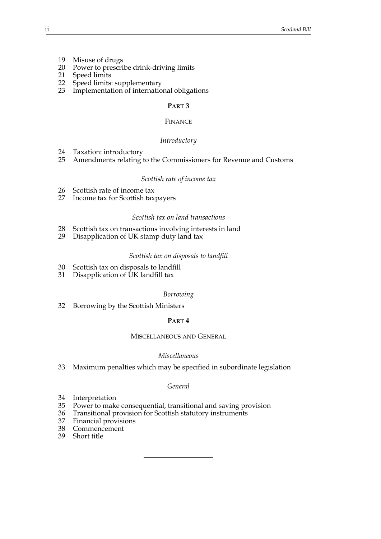- [19 Misuse of drugs](#page-16-1)
- [20 Power to prescribe drink-driving limits](#page-17-0)
- [21 Speed limits](#page-18-0)
- [22 Speed limits: supplementary](#page-20-0)
- [23 Implementation of international obligations](#page-20-1)

### **PART 3**

### FINANCE

### *Introductory*

- [24 Taxation: introductory](#page-21-0)
- [25 Amendments relating to the Commissioners for Revenue and Customs](#page-22-0)

### *Scottish rate of income tax*

- [26 Scottish rate of income tax](#page-23-0)<br>27 Income tax for Scottish tax
- Income tax for Scottish taxpayers

### *Scottish tax on land transactions*

- [28 Scottish tax on transactions involving interests in land](#page-27-0)
- [29 Disapplication of UK stamp duty land tax](#page-27-1)

### *Scottish tax on disposals to landfill*

- [30 Scottish tax on disposals to landfill](#page-28-0)
- [31 Disapplication of UK landfill tax](#page-29-0)

### *Borrowing*

[32 Borrowing by the Scottish Ministers](#page-29-1)

### **PART 4**

### MISCELLANEOUS AND GENERAL

### *Miscellaneous*

[33 Maximum penalties which may be specified in subordinate legislation](#page-30-0)

### *General*

- [34 Interpretation](#page-31-0)
- [35 Power to make consequential, transitional and saving provision](#page-31-1)
- [36 Transitional provision for Scottish statutory instruments](#page-32-0)
- [37 Financial provisions](#page-32-1)
- [38 Commencement](#page-32-2)
- [39 Short title](#page-33-0)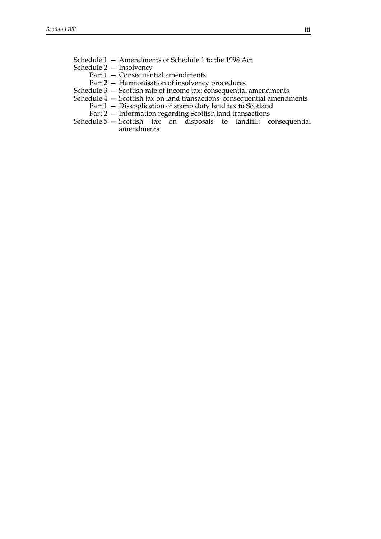- Schedule  $1 -$  Amendments of Schedule 1 to the 1998 Act
- Schedule  $2 -$  Insolvency
	- Part  $1$  Consequential amendments
	- Part 2 Harmonisation of insolvency procedures
- Schedule  $3 -$  Scottish rate of income tax: consequential amendments
- Schedule  $4 -$  Scottish tax on land transactions: consequential amendments
	- Part  $1 -$  Disapplication of stamp duty land tax to Scotland
	- Part 2 Information regarding Scottish land transactions
- Schedule 5 Scottish tax on disposals to landfill: consequential [amendments](#page-42-0)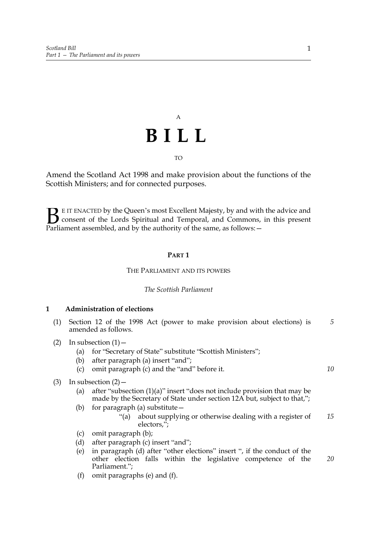# A **BILL**

TO

Amend the Scotland Act 1998 and make provision about the functions of the Scottish Ministers; and for connected purposes.

E IT ENACTED by the Queen's most Excellent Majesty, by and with the advice and consent of the Lords Spiritual and Temporal, and Commons, in this present **B** E IT ENACTED by the Queen's most Excellent Majesty, by and with consent of the Lords Spiritual and Temporal, and Commons, Parliament assembled, and by the authority of the same, as follows:  $-$ 

### **PART 1**

### THE PARLIAMENT AND ITS POWERS

### *The Scottish Parliament*

### <span id="page-6-1"></span><span id="page-6-0"></span>**1 Administration of elections**

- (1) Section 12 of the 1998 Act (power to make provision about elections) is amended as follows. *5*
- (2) In subsection  $(1)$ 
	- (a) for "Secretary of State" substitute "Scottish Ministers";
	- (b) after paragraph (a) insert "and";
	- (c) omit paragraph (c) and the "and" before it.
- (3) In subsection  $(2)$ 
	- (a) after "subsection  $(1)(a)$ " insert "does not include provision that may be made by the Secretary of State under section 12A but, subject to that,";
	- (b) for paragraph (a) substitute $$ 
		- ì(a) about supplying or otherwise dealing with a register of electors,"; *15*
	- (c) omit paragraph (b);
	- (d) after paragraph  $(c)$  insert "and";
	- (e) in paragraph (d) after "other elections" insert ", if the conduct of the other election falls within the legislative competence of the Parliament."; *20*
	- (f) omit paragraphs (e) and (f).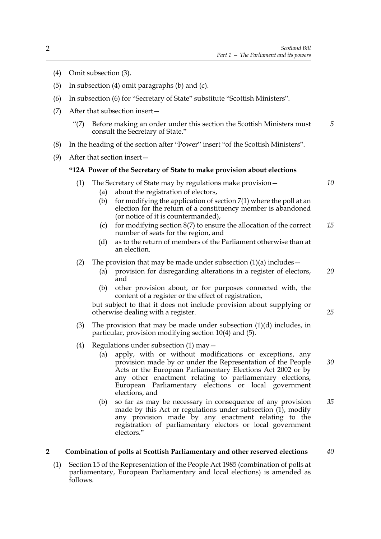- (4) Omit subsection (3).
- (5) In subsection (4) omit paragraphs (b) and (c).
- $(6)$  In subsection  $(6)$  for "Secretary of State" substitute "Scottish Ministers".
- (7) After that subsection insert $$ 
	- ì(7) Before making an order under this section the Scottish Ministers must consult the Secretary of State." *5*
- (8) In the heading of the section after "Power" insert "of the Scottish Ministers".
- (9) After that section insert $-$

### **ì12A Power of the Secretary of State to make provision about elections**

- (1) The Secretary of State may by regulations make provision  $-$ 
	- (a) about the registration of electors,
	- (b) for modifying the application of section  $7(1)$  where the poll at an election for the return of a constituency member is abandoned (or notice of it is countermanded),
	- (c) for modifying section  $8(7)$  to ensure the allocation of the correct number of seats for the region, and *15*
	- (d) as to the return of members of the Parliament otherwise than at an election.

### (2) The provision that may be made under subsection  $(1)(a)$  includes –

- (a) provision for disregarding alterations in a register of electors, and *20*
- (b) other provision about, or for purposes connected with, the content of a register or the effect of registration,

but subject to that it does not include provision about supplying or otherwise dealing with a register.

- (3) The provision that may be made under subsection  $(1)(d)$  includes, in particular, provision modifying section 10(4) and (5).
- (4) Regulations under subsection  $(1)$  may  $-$ 
	- (a) apply, with or without modifications or exceptions, any provision made by or under the Representation of the People Acts or the European Parliamentary Elections Act 2002 or by any other enactment relating to parliamentary elections, European Parliamentary elections or local government elections, and *30*
	- (b) so far as may be necessary in consequence of any provision made by this Act or regulations under subsection  $(1)$ , modify any provision made by any enactment relating to the registration of parliamentary electors or local government electors." *35*

#### <span id="page-7-0"></span>**2 Combination of polls at Scottish Parliamentary and other reserved elections** *40*

(1) Section 15 of the Representation of the People Act 1985 (combination of polls at parliamentary, European Parliamentary and local elections) is amended as follows.

*25*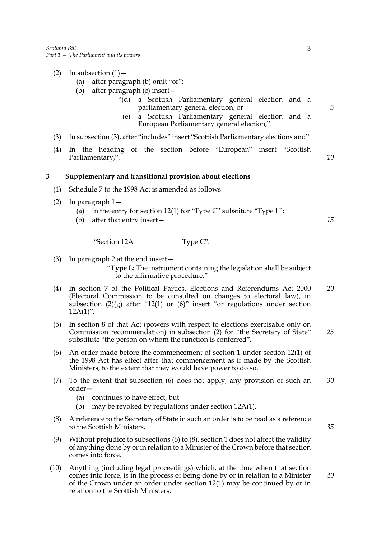- (2) In subsection  $(1)$ 
	- (a) after paragraph (b) omit "or";
	- (b) after paragraph (c) insert  $$ 
		- ì(d) a Scottish Parliamentary general election and a parliamentary general election; or
			- (e) a Scottish Parliamentary general election and a European Parliamentary general election,".
- (3) In subsection (3), after "includes" insert "Scottish Parliamentary elections and".
- (4) In the heading of the section before "European" insert "Scottish Parliamentary,".

### <span id="page-8-0"></span>**3 Supplementary and transitional provision about elections**

- (1) Schedule 7 to the 1998 Act is amended as follows.
- (2) In paragraph  $1-$ 
	- (a) in the entry for section 12(1) for "Type C" substitute "Type L";
	- (b) after that entry insert $-$

 $\text{``Section 12A}$  Type C".

(3) In paragraph 2 at the end insert  $-$ 

ì**Type L:** The instrument containing the legislation shall be subject to the affirmative procedure."

- (4) In section 7 of the Political Parties, Elections and Referendums Act 2000 (Electoral Commission to be consulted on changes to electoral law), in subsection  $(2)(g)$  after "12(1) or  $(6)$ " insert "or regulations under section  $12A(1)$ ". *20*
- (5) In section 8 of that Act (powers with respect to elections exercisable only on Commission recommendation) in subsection (2) for "the Secretary of State" substitute "the person on whom the function is conferred". *25*
- <span id="page-8-1"></span>(6) An order made before the commencement of section [1](#page-6-1) under section 12(1) of the 1998 Act has effect after that commencement as if made by the Scottish Ministers, to the extent that they would have power to do so.
- (7) To the extent that subsection [\(6\)](#page-8-1) does not apply, any provision of such an order-*30*
	- (a) continues to have effect, but
	- (b) may be revoked by regulations under section 12A(1).
- (8) A reference to the Secretary of State in such an order is to be read as a reference to the Scottish Ministers.
- (9) Without prejudice to subsections [\(6\)](#page-8-1) to (8), section [1](#page-6-1) does not affect the validity of anything done by or in relation to a Minister of the Crown before that section comes into force.
- (10) Anything (including legal proceedings) which, at the time when that section comes into force, is in the process of being done by or in relation to a Minister of the Crown under an order under section 12(1) may be continued by or in relation to the Scottish Ministers. *40*

*10*

*5*

*15*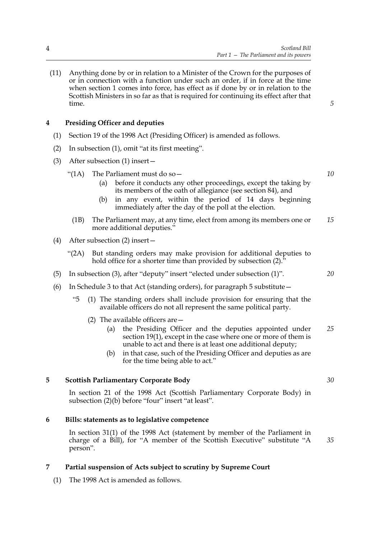(11) Anything done by or in relation to a Minister of the Crown for the purposes of or in connection with a function under such an order, if in force at the time when section [1](#page-6-1) comes into force, has effect as if done by or in relation to the Scottish Ministers in so far as that is required for continuing its effect after that time.

*5*

*10*

### <span id="page-9-0"></span>**4 Presiding Officer and deputies**

- (1) Section 19 of the 1998 Act (Presiding Officer) is amended as follows.
- (2) In subsection  $(1)$ , omit "at its first meeting".
- (3) After subsection (1) insert  $-$ 
	- "(1A) The Parliament must do so  $-$ 
		- (a) before it conducts any other proceedings, except the taking by its members of the oath of allegiance (see section 84), and
		- (b) in any event, within the period of 14 days beginning immediately after the day of the poll at the election.
	- (1B) The Parliament may, at any time, elect from among its members one or more additional deputies.<sup>"</sup> *15*
- (4) After subsection (2) insert
	- ì(2A) But standing orders may make provision for additional deputies to hold office for a shorter time than provided by subsection  $(2).<sup>3</sup>$
- (5) In subsection (3), after "deputy" insert "elected under subsection  $(1)$ ".
- (6) In Schedule 3 to that Act (standing orders), for paragraph 5 substitute  $$ 
	- ì5 (1) The standing orders shall include provision for ensuring that the available officers do not all represent the same political party.
		- (2) The available officers are  $-$ 
			- (a) the Presiding Officer and the deputies appointed under section 19(1), except in the case where one or more of them is unable to act and there is at least one additional deputy; *25*
			- (b) in that case, such of the Presiding Officer and deputies as are for the time being able to act."

### **5 Scottish Parliamentary Corporate Body**

<span id="page-9-1"></span>In section 21 of the 1998 Act (Scottish Parliamentary Corporate Body) in subsection  $(2)(b)$  before "four" insert "at least".

### <span id="page-9-4"></span>**6 Bills: statements as to legislative competence**

<span id="page-9-2"></span> In section 31(1) of the 1998 Act (statement by member of the Parliament in charge of a Bill), for "A member of the Scottish Executive" substitute "A person". *35*

### <span id="page-9-3"></span>**7 Partial suspension of Acts subject to scrutiny by Supreme Court**

(1) The 1998 Act is amended as follows.

*20*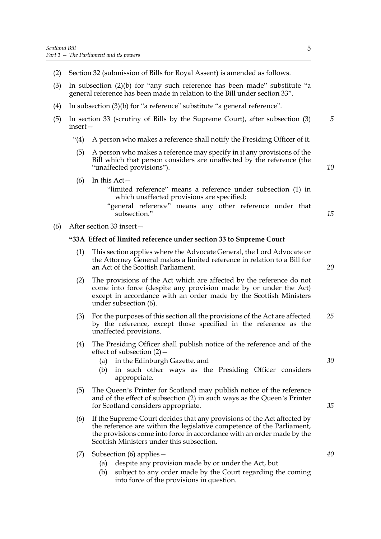- (2) Section 32 (submission of Bills for Royal Assent) is amended as follows.
- (3) In subsection (2)(b) for "any such reference has been made" substitute "a general reference has been made in relation to the Bill under section 33î.
- (4) In subsection  $(3)(b)$  for "a reference" substitute "a general reference".
- (5) In section 33 (scrutiny of Bills by the Supreme Court), after subsection (3) insert-*5*
	- $\hat{A}$  A person who makes a reference shall notify the Presiding Officer of it.
	- (5) A person who makes a reference may specify in it any provisions of the Bill which that person considers are unaffected by the reference (the "unaffected provisions").
	- $(6)$  In this Act
		- ìlimited referenceî means a reference under subsection (1) in which unaffected provisions are specified;
		- "general reference" means any other reference under that subsection."
- (6) After section 33 insert  $-$

### **ì33A Effect of limited reference under section 33 to Supreme Court**

- (1) This section applies where the Advocate General, the Lord Advocate or the Attorney General makes a limited reference in relation to a Bill for an Act of the Scottish Parliament.
- (2) The provisions of the Act which are affected by the reference do not come into force (despite any provision made by or under the Act) except in accordance with an order made by the Scottish Ministers under subsection (6).
- (3) For the purposes of this section all the provisions of the Act are affected by the reference, except those specified in the reference as the unaffected provisions. *25*
- (4) The Presiding Officer shall publish notice of the reference and of the effect of subsection  $(2)$  –
	- (a) in the Edinburgh Gazette, and
	- (b) in such other ways as the Presiding Officer considers appropriate.
- (5) The Queenís Printer for Scotland may publish notice of the reference and of the effect of subsection (2) in such ways as the Queen's Printer for Scotland considers appropriate.
- (6) If the Supreme Court decides that any provisions of the Act affected by the reference are within the legislative competence of the Parliament, the provisions come into force in accordance with an order made by the Scottish Ministers under this subsection.
- (7) Subsection (6) applies  $-$ 
	- (a) despite any provision made by or under the Act, but
	- (b) subject to any order made by the Court regarding the coming into force of the provisions in question.

*10*

*15*

*20*

*30*

*35*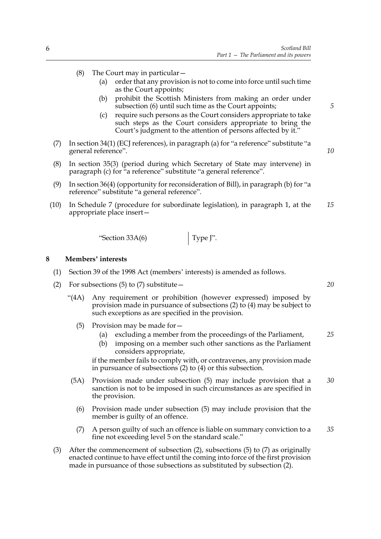- (8) The Court may in particular  $-$ 
	- (a) order that any provision is not to come into force until such time as the Court appoints;
	- (b) prohibit the Scottish Ministers from making an order under subsection (6) until such time as the Court appoints;
	- (c) require such persons as the Court considers appropriate to take such steps as the Court considers appropriate to bring the Court's judgment to the attention of persons affected by it."
- (7) In section 34(1) (ECJ references), in paragraph (a) for "a reference" substitute "a general reference".
- (8) In section 35(3) (period during which Secretary of State may intervene) in paragraph  $(c)$  for "a reference" substitute "a general reference".
- (9) In section 36(4) (opportunity for reconsideration of Bill), in paragraph (b) for "a reference" substitute "a general reference".
- (10) In Schedule 7 (procedure for subordinate legislation), in paragraph 1, at the appropriate place insert $-$ *15*

 $\text{``Section 33A(6)}$  Type J".

### <span id="page-11-0"></span>8 Members' interests

- (1) Section 39 of the 1998 Act (members' interests) is amended as follows.
- (2) For subsections (5) to (7) substitute  $$ 
	- ì(4A) Any requirement or prohibition (however expressed) imposed by provision made in pursuance of subsections (2) to (4) may be subject to such exceptions as are specified in the provision.
		- (5) Provision may be made for  $-$ 
			- (a) excluding a member from the proceedings of the Parliament, *25*
			- (b) imposing on a member such other sanctions as the Parliament considers appropriate,

if the member fails to comply with, or contravenes, any provision made in pursuance of subsections (2) to (4) or this subsection.

- (5A) Provision made under subsection (5) may include provision that a sanction is not to be imposed in such circumstances as are specified in the provision. *30*
	- (6) Provision made under subsection (5) may include provision that the member is guilty of an offence.
	- (7) A person guilty of such an offence is liable on summary conviction to a fine not exceeding level 5 on the standard scale." *35*
- (3) After the commencement of subsection (2), subsections (5) to (7) as originally enacted continue to have effect until the coming into force of the first provision made in pursuance of those subsections as substituted by subsection (2).

*20*

*5*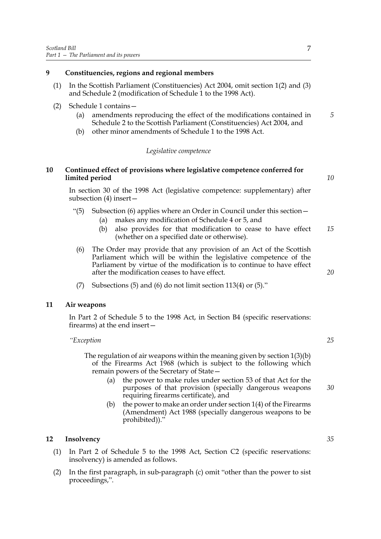### <span id="page-12-0"></span>**9 Constituencies, regions and regional members**

(1) In the Scottish Parliament (Constituencies) Act 2004, omit section 1(2) and (3) and Schedule 2 (modification of Schedule 1 to the 1998 Act).

### (2) Schedule [1](#page-34-0) contains  $-$

- (a) amendments reproducing the effect of the modifications contained in Schedule 2 to the Scottish Parliament (Constituencies) Act 2004, and
- (b) other minor amendments of Schedule 1 to the 1998 Act.

### *Legislative competence*

### <span id="page-12-1"></span>**10 Continued effect of provisions where legislative competence conferred for limited period**

 In section 30 of the 1998 Act (legislative competence: supplementary) after subsection  $(4)$  insert  $-$ 

- "(5) Subsection (6) applies where an Order in Council under this section  $-$ 
	- (a) makes any modification of Schedule 4 or 5, and
	- (b) also provides for that modification to cease to have effect (whether on a specified date or otherwise). *15*
	- (6) The Order may provide that any provision of an Act of the Scottish Parliament which will be within the legislative competence of the Parliament by virtue of the modification is to continue to have effect after the modification ceases to have effect.
	- (7) Subsections (5) and (6) do not limit section 113(4) or  $(5)$ ."

### **11 Air weapons**

<span id="page-12-2"></span>In Part 2 of Schedule 5 to the 1998 Act, in Section B4 (specific reservations: firearms) at the end insert $-$ 

*ìException*

The regulation of air weapons within the meaning given by section 1(3)(b) of the Firearms Act 1968 (which is subject to the following which remain powers of the Secretary of State-

- (a) the power to make rules under section 53 of that Act for the purposes of that provision (specially dangerous weapons requiring firearms certificate), and
- (b) the power to make an order under section 1(4) of the Firearms (Amendment) Act 1988 (specially dangerous weapons to be prohibited))."

### <span id="page-12-3"></span>**12 Insolvency**

- (1) In Part 2 of Schedule 5 to the 1998 Act, Section C2 (specific reservations: insolvency) is amended as follows.
- $(2)$  In the first paragraph, in sub-paragraph  $(c)$  omit "other than the power to sist proceedings,".

*25*

*30*

*20*

*35*

*10*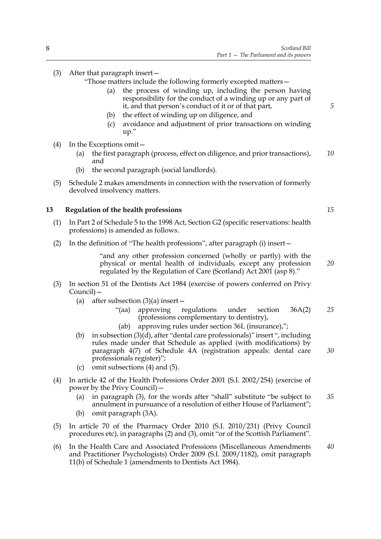### (3) After that paragraph insert  $-$

"Those matters include the following formerly excepted matters-

- (a) the process of winding up, including the person having responsibility for the conduct of a winding up or any part of it, and that person's conduct of it or of that part,
- (b) the effect of winding up on diligence, and
- (c) avoidance and adjustment of prior transactions on winding  $up.$ "
- $(4)$  In the Exceptions omit  $-$ 
	- (a) the first paragraph (process, effect on diligence, and prior transactions), and *10*
	- (b) the second paragraph (social landlords).
- (5) Schedule [2](#page-35-0) makes amendments in connection with the reservation of formerly devolved insolvency matters.

### <span id="page-13-0"></span>**13 Regulation of the health professions**

- (1) In Part 2 of Schedule 5 to the 1998 Act, Section G2 (specific reservations: health professions) is amended as follows.
- (2) In the definition of "The health professions", after paragraph (i) insert—

"and any other profession concerned (wholly or partly) with the physical or mental health of individuals, except any profession regulated by the Regulation of Care (Scotland) Act 2001 (asp 8)."

- (3) In section 51 of the Dentists Act 1984 (exercise of powers conferred on Privy Council)-
	- (a) after subsection  $(3)(a)$  insert
		- ì(aa) approving regulations under section 36A(2) (professions complementary to dentistry), *25*
		- (ab) approving rules under section  $36L$  (insurance),";
	- (b) in subsection  $(3)(d)$ , after "dental care professionals)" insert ", including rules made under that Schedule as applied (with modifications) by paragraph 4(7) of Schedule 4A (registration appeals: dental care professionals register)"; *30*
	- (c) omit subsections (4) and (5).
- (4) In article 42 of the Health Professions Order 2001 (S.I. 2002/254) (exercise of power by the Privy Council $)$  –
	- (a) in paragraph  $(3)$ , for the words after "shall" substitute "be subject to annulment in pursuance of a resolution of either House of Parliament"; *35*
	- (b) omit paragraph (3A).
- (5) In article 70 of the Pharmacy Order 2010 (S.I. 2010/231) (Privy Council procedures etc), in paragraphs (2) and (3), omit "or of the Scottish Parliament".
- (6) In the Health Care and Associated Professions (Miscellaneous Amendments and Practitioner Psychologists) Order 2009 (S.I. 2009/1182), omit paragraph 11(b) of Schedule 1 (amendments to Dentists Act 1984). *40*

*15*

*20*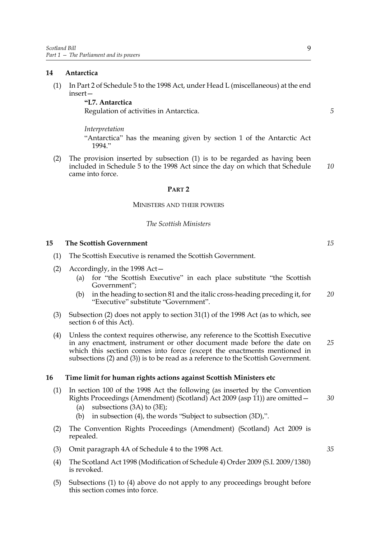### <span id="page-14-3"></span><span id="page-14-0"></span>**14 Antarctica**

(1) In Part 2 of Schedule 5 to the 1998 Act, under Head L (miscellaneous) at the end  $insert-$ 

> **ìL7. Antarctica** Regulation of activities in Antarctica.

*Interpretation*

"Antarctica" has the meaning given by section 1 of the Antarctic Act 1994."

(2) The provision inserted by subsection (1) is to be regarded as having been included in Schedule 5 to the 1998 Act since the day on which that Schedule came into force.

### **PART 2**

### MINISTERS AND THEIR POWERS

### *The Scottish Ministers*

### <span id="page-14-1"></span>**15 The Scottish Government**

- (1) The Scottish Executive is renamed the Scottish Government.
- (2) Accordingly, in the 1998 Act  $-$ 
	- (a) for "the Scottish Executive" in each place substitute "the Scottish Government";
	- (b) in the heading to section 81 and the italic cross-heading preceding it, for "Executive" substitute "Government". *20*
- (3) Subsection (2) does not apply to section 31(1) of the 1998 Act (as to which, see section [6](#page-9-4) of this Act).
- (4) Unless the context requires otherwise, any reference to the Scottish Executive in any enactment, instrument or other document made before the date on which this section comes into force (except the enactments mentioned in subsections (2) and (3)) is to be read as a reference to the Scottish Government. *25*

### <span id="page-14-2"></span>**16 Time limit for human rights actions against Scottish Ministers etc**

- (1) In section 100 of the 1998 Act the following (as inserted by the Convention Rights Proceedings (Amendment) (Scotland) Act 2009 (asp 11)) are omitted  $-$ 
	- (a) subsections  $(3A)$  to  $(3E)$ ;
	- (b) in subsection (4), the words "Subject to subsection  $(3D)$ ,".
- (2) The Convention Rights Proceedings (Amendment) (Scotland) Act 2009 is repealed.
- (3) Omit paragraph 4A of Schedule 4 to the 1998 Act.
- (4) The Scotland Act 1998 (Modification of Schedule 4) Order 2009 (S.I. 2009/1380) is revoked.
- (5) Subsections (1) to (4) above do not apply to any proceedings brought before this section comes into force.

*30*

*35*

*15*

*5*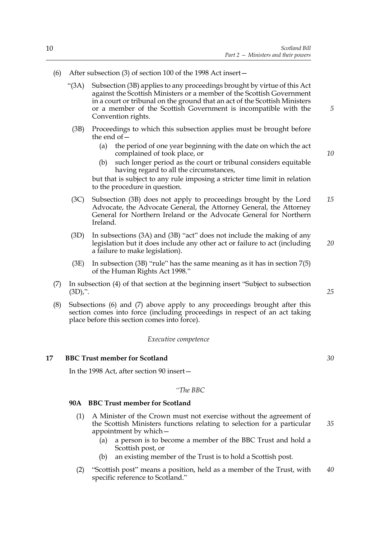- (6) After subsection (3) of section 100 of the 1998 Act insert $$ 
	- ì(3A) Subsection (3B) applies to any proceedings brought by virtue of this Act against the Scottish Ministers or a member of the Scottish Government in a court or tribunal on the ground that an act of the Scottish Ministers or a member of the Scottish Government is incompatible with the Convention rights.
		- (3B) Proceedings to which this subsection applies must be brought before the end of  $-\frac{1}{2}$ 
			- (a) the period of one year beginning with the date on which the act complained of took place, or
			- (b) such longer period as the court or tribunal considers equitable having regard to all the circumstances,

but that is subject to any rule imposing a stricter time limit in relation to the procedure in question.

- (3C) Subsection (3B) does not apply to proceedings brought by the Lord Advocate, the Advocate General, the Attorney General, the Attorney General for Northern Ireland or the Advocate General for Northern Ireland. *15*
- (3D) In subsections (3A) and (3B) "act" does not include the making of any legislation but it does include any other act or failure to act (including a failure to make legislation). *20*
- $(3E)$  In subsection  $(3B)$  "rule" has the same meaning as it has in section  $7(5)$ of the Human Rights Act 1998."
- $(7)$  In subsection  $(4)$  of that section at the beginning insert "Subject to subsection  $(3D)$ ,".
- (8) Subsections (6) and (7) above apply to any proceedings brought after this section comes into force (including proceedings in respect of an act taking place before this section comes into force).

### *Executive competence*

### **17 BBC Trust member for Scotland**

<span id="page-15-0"></span>In the 1998 Act, after section 90 insert $-$ 

*ìThe BBC*

### **90A BBC Trust member for Scotland**

- (1) A Minister of the Crown must not exercise without the agreement of the Scottish Ministers functions relating to selection for a particular appointment by which $-$ 
	- (a) a person is to become a member of the BBC Trust and hold a Scottish post, or
	- (b) an existing member of the Trust is to hold a Scottish post.
- (2) "Scottish post" means a position, held as a member of the Trust, with specific reference to Scotland." *40*

*30*

*25*

*5*

*10*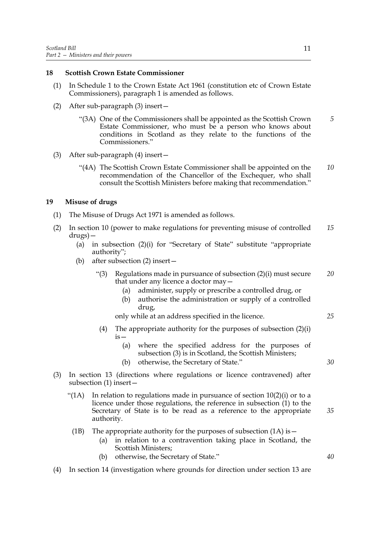### <span id="page-16-0"></span>**18 Scottish Crown Estate Commissioner**

- (1) In Schedule 1 to the Crown Estate Act 1961 (constitution etc of Crown Estate Commissioners), paragraph 1 is amended as follows.
- (2) After sub-paragraph  $(3)$  insert  $$ 
	- ì(3A) One of the Commissioners shall be appointed as the Scottish Crown Estate Commissioner, who must be a person who knows about conditions in Scotland as they relate to the functions of the Commissioners." *5*
- (3) After sub-paragraph  $(4)$  insert  $$ 
	- ì(4A) The Scottish Crown Estate Commissioner shall be appointed on the recommendation of the Chancellor of the Exchequer, who shall consult the Scottish Ministers before making that recommendation." *10*

### <span id="page-16-1"></span>**19 Misuse of drugs**

- (1) The Misuse of Drugs Act 1971 is amended as follows.
- (2) In section 10 (power to make regulations for preventing misuse of controlled  $drugs)$  – *15*
	- (a) in subsection  $(2)(i)$  for "Secretary of State" substitute "appropriate authority";
	- (b) after subsection  $(2)$  insert  $-$ 
		- $\lq(3)$  Regulations made in pursuance of subsection (2)(i) must secure that under any licence a doctor may  $-$ *20*
			- (a) administer, supply or prescribe a controlled drug, or
			- (b) authorise the administration or supply of a controlled drug,

only while at an address specified in the licence.

- (4) The appropriate authority for the purposes of subsection  $(2)(i)$  $is-$ 
	- (a) where the specified address for the purposes of subsection (3) is in Scotland, the Scottish Ministers;
	- (b) otherwise, the Secretary of State."
- (3) In section 13 (directions where regulations or licence contravened) after subsection  $(1)$  insert  $-$ 
	- $\mathcal{L}(1)$  In relation to regulations made in pursuance of section 10(2)(i) or to a licence under those regulations, the reference in subsection (1) to the Secretary of State is to be read as a reference to the appropriate authority.
	- (1B) The appropriate authority for the purposes of subsection  $(1A)$  is  $-$ 
		- (a) in relation to a contravention taking place in Scotland, the Scottish Ministers;
		- (b) otherwise, the Secretary of State."
- (4) In section 14 (investigation where grounds for direction under section 13 are

*40*

*35*

*25*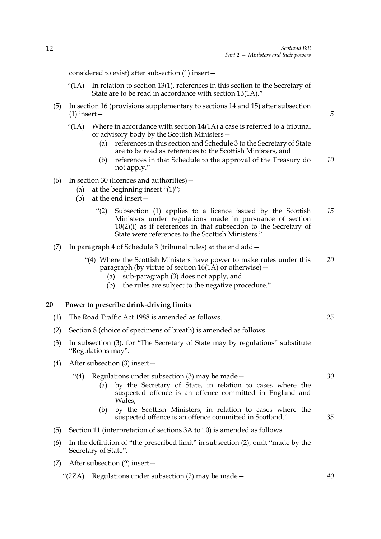considered to exist) after subsection  $(1)$  insert  $-$ 

- $\mathcal{L}(1)$  In relation to section 13(1), references in this section to the Secretary of State are to be read in accordance with section  $13(1A)$ ."
- (5) In section 16 (provisions supplementary to sections 14 and 15) after subsection  $(1)$  insert –
	- $\lq$ (1A) Where in accordance with section 14(1A) a case is referred to a tribunal or advisory body by the Scottish Ministers –
		- (a) references in this section and Schedule 3 to the Secretary of State are to be read as references to the Scottish Ministers, and
		- (b) references in that Schedule to the approval of the Treasury do not apply." *10*
- (6) In section 30 (licences and authorities)  $-$ 
	- (a) at the beginning insert  $\lq(1)$ ;
	- (b) at the end insert  $-$ 
		- $\degree$ (2) Subsection (1) applies to a licence issued by the Scottish Ministers under regulations made in pursuance of section 10(2)(i) as if references in that subsection to the Secretary of State were references to the Scottish Ministers." *15*
- (7) In paragraph 4 of Schedule 3 (tribunal rules) at the end  $add$ 
	- ì(4) Where the Scottish Ministers have power to make rules under this paragraph (by virtue of section  $16(1A)$  or otherwise) – *20*
		- (a) sub-paragraph (3) does not apply, and
		- (b) the rules are subject to the negative procedure. $\ddot{ }$

### <span id="page-17-0"></span>**20 Power to prescribe drink-driving limits**

- (1) The Road Traffic Act 1988 is amended as follows.
- (2) Section 8 (choice of specimens of breath) is amended as follows.
- (3) In subsection (3), for "The Secretary of State may by regulations" substitute "Regulations may".
- (4) After subsection (3) insert $-$ 
	- "(4) Regulations under subsection (3) may be made  $-$ *30*
		- (a) by the Secretary of State, in relation to cases where the suspected offence is an offence committed in England and Wales;
		- (b) by the Scottish Ministers, in relation to cases where the suspected offence is an offence committed in Scotland."
- (5) Section 11 (interpretation of sections 3A to 10) is amended as follows.
- $(6)$  In the definition of "the prescribed limit" in subsection  $(2)$ , omit "made by the Secretary of State".
- (7) After subsection (2) insert  $-$

" $(2ZA)$  Regulations under subsection  $(2)$  may be made  $-$ 

*25*

*35*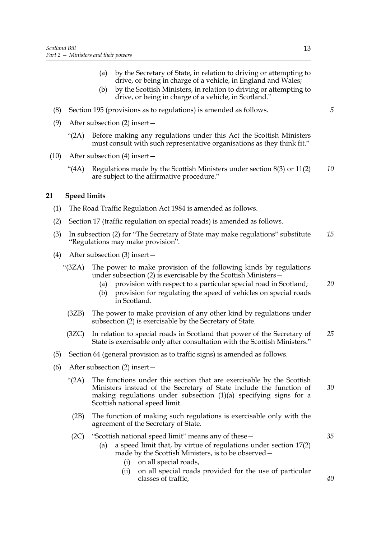- (a) by the Secretary of State, in relation to driving or attempting to drive, or being in charge of a vehicle, in England and Wales;
- (b) by the Scottish Ministers, in relation to driving or attempting to drive, or being in charge of a vehicle, in Scotland."
- (8) Section 195 (provisions as to regulations) is amended as follows.
- (9) After subsection (2) insert
	- ì(2A) Before making any regulations under this Act the Scottish Ministers must consult with such representative organisations as they think fit."
- (10) After subsection (4) insert  $-$ 
	- $\cdot$  (4A) Regulations made by the Scottish Ministers under section 8(3) or 11(2) are subject to the affirmative procedure." *10*

### <span id="page-18-1"></span><span id="page-18-0"></span>**21 Speed limits**

- (1) The Road Traffic Regulation Act 1984 is amended as follows.
- (2) Section 17 (traffic regulation on special roads) is amended as follows.
- (3) In subsection (2) for "The Secretary of State may make regulations" substitute "Regulations may make provision". *15*
- (4) After subsection (3) insert  $$ 
	- ì(3ZA) The power to make provision of the following kinds by regulations under subsection  $(2)$  is exercisable by the Scottish Ministers  $-$ 
		- (a) provision with respect to a particular special road in Scotland; *20*
		- (b) provision for regulating the speed of vehicles on special roads in Scotland.
		- (3ZB) The power to make provision of any other kind by regulations under subsection (2) is exercisable by the Secretary of State.
	- (3ZC) In relation to special roads in Scotland that power of the Secretary of State is exercisable only after consultation with the Scottish Ministers." *25*
- (5) Section 64 (general provision as to traffic signs) is amended as follows.
- (6) After subsection (2) insert  $-$ 
	- $\degree$ (2A) The functions under this section that are exercisable by the Scottish Ministers instead of the Secretary of State include the function of making regulations under subsection (1)(a) specifying signs for a Scottish national speed limit. *30*
	- (2B) The function of making such regulations is exercisable only with the agreement of the Secretary of State.
	- (2C) "Scottish national speed limit" means any of these  $-$ 
		- (a) a speed limit that, by virtue of regulations under section 17(2) made by the Scottish Ministers, is to be observed  $-$ 
			- (i) on all special roads,
			- (ii) on all special roads provided for the use of particular classes of traffic,

*5*

*40*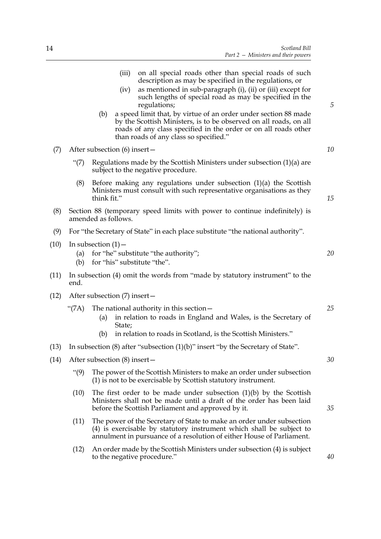|      |                                                                                                                           | (iii)<br>on all special roads other than special roads of such<br>description as may be specified in the regulations, or<br>as mentioned in sub-paragraph (i), (ii) or (iii) except for<br>(iv)<br>such lengths of special road as may be specified in the<br>regulations;<br>a speed limit that, by virtue of an order under section 88 made<br>(b)<br>by the Scottish Ministers, is to be observed on all roads, on all<br>roads of any class specified in the order or on all roads other<br>than roads of any class so specified." | 5  |  |  |  |  |  |
|------|---------------------------------------------------------------------------------------------------------------------------|----------------------------------------------------------------------------------------------------------------------------------------------------------------------------------------------------------------------------------------------------------------------------------------------------------------------------------------------------------------------------------------------------------------------------------------------------------------------------------------------------------------------------------------|----|--|--|--|--|--|
| (7)  |                                                                                                                           | After subsection (6) insert-                                                                                                                                                                                                                                                                                                                                                                                                                                                                                                           | 10 |  |  |  |  |  |
|      | Regulations made by the Scottish Ministers under subsection $(1)(a)$ are<br>" $(7)$<br>subject to the negative procedure. |                                                                                                                                                                                                                                                                                                                                                                                                                                                                                                                                        |    |  |  |  |  |  |
|      | (8)                                                                                                                       | Before making any regulations under subsection $(1)(a)$ the Scottish<br>Ministers must consult with such representative organisations as they<br>think fit."                                                                                                                                                                                                                                                                                                                                                                           | 15 |  |  |  |  |  |
| (8)  |                                                                                                                           | Section 88 (temporary speed limits with power to continue indefinitely) is<br>amended as follows.                                                                                                                                                                                                                                                                                                                                                                                                                                      |    |  |  |  |  |  |
| (9)  |                                                                                                                           | For "the Secretary of State" in each place substitute "the national authority".                                                                                                                                                                                                                                                                                                                                                                                                                                                        |    |  |  |  |  |  |
| (10) | (a)<br>(b)                                                                                                                | In subsection $(1)$ –<br>for "he" substitute "the authority";<br>for "his" substitute "the".                                                                                                                                                                                                                                                                                                                                                                                                                                           | 20 |  |  |  |  |  |
| (11) | end.                                                                                                                      | In subsection (4) omit the words from "made by statutory instrument" to the                                                                                                                                                                                                                                                                                                                                                                                                                                                            |    |  |  |  |  |  |
| (12) |                                                                                                                           | After subsection (7) insert-                                                                                                                                                                                                                                                                                                                                                                                                                                                                                                           |    |  |  |  |  |  |
|      | "(7A)                                                                                                                     | The national authority in this section $-$<br>in relation to roads in England and Wales, is the Secretary of<br>(a)<br>State;<br>in relation to roads in Scotland, is the Scottish Ministers."<br>(b)                                                                                                                                                                                                                                                                                                                                  | 25 |  |  |  |  |  |
| (13) | In subsection $(8)$ after "subsection $(1)(b)$ " insert "by the Secretary of State".                                      |                                                                                                                                                                                                                                                                                                                                                                                                                                                                                                                                        |    |  |  |  |  |  |
| (14) |                                                                                                                           | After subsection (8) insert-                                                                                                                                                                                                                                                                                                                                                                                                                                                                                                           | 30 |  |  |  |  |  |
|      | $\cdot\cdot(9)$                                                                                                           | The power of the Scottish Ministers to make an order under subsection<br>(1) is not to be exercisable by Scottish statutory instrument.                                                                                                                                                                                                                                                                                                                                                                                                |    |  |  |  |  |  |
|      | (10)                                                                                                                      | The first order to be made under subsection $(1)(b)$ by the Scottish<br>Ministers shall not be made until a draft of the order has been laid<br>before the Scottish Parliament and approved by it.                                                                                                                                                                                                                                                                                                                                     | 35 |  |  |  |  |  |
|      | (11)                                                                                                                      | The power of the Secretary of State to make an order under subsection<br>(4) is exercisable by statutory instrument which shall be subject to<br>annulment in pursuance of a resolution of either House of Parliament.                                                                                                                                                                                                                                                                                                                 |    |  |  |  |  |  |
|      | (12)                                                                                                                      | An order made by the Scottish Ministers under subsection (4) is subject                                                                                                                                                                                                                                                                                                                                                                                                                                                                |    |  |  |  |  |  |

 $(10)$ 

 $(12)$ 

 $(14)$ 

to the negative procedure."

*40*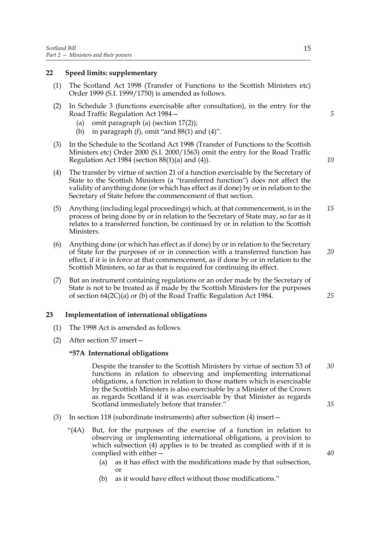### <span id="page-20-0"></span>**22 Speed limits: supplementary**

- (1) The Scotland Act 1998 (Transfer of Functions to the Scottish Ministers etc) Order 1999 (S.I. 1999/1750) is amended as follows.
- (2) In Schedule 3 (functions exercisable after consultation), in the entry for the Road Traffic Regulation Act 1984 –
	- (a) omit paragraph (a) (section 17(2));
	- (b) in paragraph (f), omit "and  $88(1)$  and  $(4)$ ".
- (3) In the Schedule to the Scotland Act 1998 (Transfer of Functions to the Scottish Ministers etc) Order 2000 (S.I. 2000/1563) omit the entry for the Road Traffic Regulation Act 1984 (section 88(1)(a) and (4)).
- (4) The transfer by virtue of section [21](#page-18-1) of a function exercisable by the Secretary of State to the Scottish Ministers (a "transferred function") does not affect the validity of anything done (or which has effect as if done) by or in relation to the Secretary of State before the commencement of that section.
- (5) Anything (including legal proceedings) which, at that commencement, is in the process of being done by or in relation to the Secretary of State may, so far as it relates to a transferred function, be continued by or in relation to the Scottish Ministers. *15*
- (6) Anything done (or which has effect as if done) by or in relation to the Secretary of State for the purposes of or in connection with a transferred function has effect, if it is in force at that commencement, as if done by or in relation to the Scottish Ministers, so far as that is required for continuing its effect. *20*
- (7) But an instrument containing regulations or an order made by the Secretary of State is not to be treated as if made by the Scottish Ministers for the purposes of section 64(2C)(a) or (b) of the Road Traffic Regulation Act 1984.

### <span id="page-20-1"></span>**23 Implementation of international obligations**

- (1) The 1998 Act is amended as follows.
- (2) After section 57 insert $-$

### **ì57A International obligations**

Despite the transfer to the Scottish Ministers by virtue of section 53 of functions in relation to observing and implementing international obligations, a function in relation to those matters which is exercisable by the Scottish Ministers is also exercisable by a Minister of the Crown as regards Scotland if it was exercisable by that Minister as regards Scotland immediately before that transfer." *30 35*

- (3) In section 118 (subordinate instruments) after subsection (4) insert $$ 
	- ì(4A) But, for the purposes of the exercise of a function in relation to observing or implementing international obligations, a provision to which subsection (4) applies is to be treated as complied with if it is complied with either $-$ 
		- (a) as it has effect with the modifications made by that subsection, or
		- (b) as it would have effect without those modifications."

*5*

*10*

*25*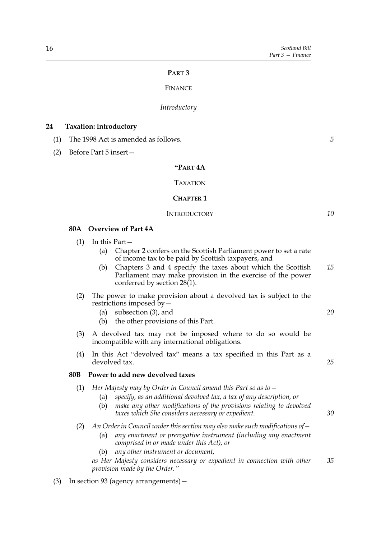### **PART 3**

### FINANCE

### *Introductory*

### <span id="page-21-1"></span><span id="page-21-0"></span>**24 Taxation: introductory**

- (1) The 1998 Act is amended as follows.
- (2) Before Part 5 insert  $-$

### **ìPART 4A**

### TAXATION

### **CHAPTER 1**

### **INTRODUCTORY**

**80A Overview of Part 4A**

- $(1)$  In this Part
	- (a) Chapter 2 confers on the Scottish Parliament power to set a rate of income tax to be paid by Scottish taxpayers, and
	- (b) Chapters 3 and 4 specify the taxes about which the Scottish Parliament may make provision in the exercise of the power conferred by section  $28(1)$ . *15*
- (2) The power to make provision about a devolved tax is subject to the restrictions imposed by  $-$ 
	- (a) subsection (3), and
	- (b) the other provisions of this Part.
- (3) A devolved tax may not be imposed where to do so would be incompatible with any international obligations.
- $(4)$  In this Act "devolved tax" means a tax specified in this Part as a devolved tax.

### **80B Power to add new devolved taxes**

- (1) *Her Majesty may by Order in Council amend this Part so as to* 
	- (a) *specify, as an additional devolved tax, a tax of any description, or*
	- (b) *make any other modifications of the provisions relating to devolved taxes which She considers necessary or expedient.*
- (2) An Order in Council under this section may also make such modifications of
	- (a) *any enactment or prerogative instrument (including any enactment comprised in or made under this Act), or*
	- (b) *any other instrument or document,*

*as Her Majesty considers necessary or expedient in connection with other provision made by the Order.*" *35*

(3) In section 93 (agency arrangements)  $-$ 

*5*

*10*

*20*

*25*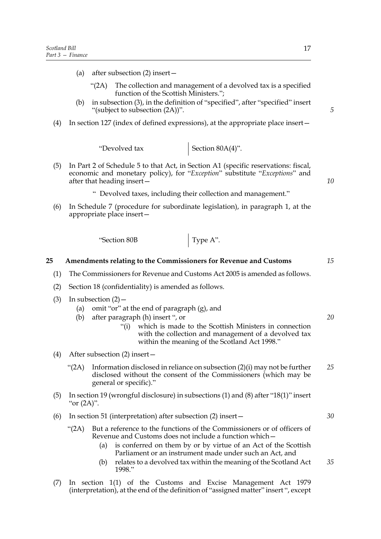- (a) after subsection  $(2)$  insert  $-$ 
	- $\degree$ (2A) The collection and management of a devolved tax is a specified function of the Scottish Ministers.";
- $(b)$  in subsection  $(3)$ , in the definition of "specified", after "specified" insert "(subject to subsection  $(2A)$ )".
- (4) In section 127 (index of defined expressions), at the appropriate place insert $-$

"Devolved tax  $\Big|$  Section 80A(4)".

- (5) In Part 2 of Schedule 5 to that Act, in Section A1 (specific reservations: fiscal, economic and monetary policy), for "*Exception*" substitute "*Exceptions*" and after that heading insert $\overline{\phantom{a}}$ 
	- <sup>4</sup> Devolved taxes, including their collection and management.<sup>31</sup>
- (6) In Schedule 7 (procedure for subordinate legislation), in paragraph 1, at the appropriate place insert $-$

 $\left\langle \text{Section 80B} \right\rangle$  Type A".

#### <span id="page-22-0"></span>**25 Amendments relating to the Commissioners for Revenue and Customs** *15*

- (1) The Commissioners for Revenue and Customs Act 2005 is amended as follows.
- (2) Section 18 (confidentiality) is amended as follows.
- (3) In subsection  $(2)$ 
	- (a) omit "or" at the end of paragraph  $(g)$ , and
	- (b) after paragraph (h) insert  $\cdot$ , or
		- ì(i) which is made to the Scottish Ministers in connection with the collection and management of a devolved tax within the meaning of the Scotland Act 1998."
- (4) After subsection  $(2)$  insert
	- $\lq$ (2A) Information disclosed in reliance on subsection (2)(i) may not be further disclosed without the consent of the Commissioners (which may be general or specific)." *25*
- (5) In section 19 (wrongful disclosure) in subsections (1) and (8) after "18(1)" insert " $or (2A)$ ".
- (6) In section 51 (interpretation) after subsection  $(2)$  insert  $$ 
	- ì(2A) But a reference to the functions of the Commissioners or of officers of Revenue and Customs does not include a function which -
		- (a) is conferred on them by or by virtue of an Act of the Scottish Parliament or an instrument made under such an Act, and
		- (b) relates to a devolved tax within the meaning of the Scotland Act 1998." *35*
- (7) In section 1(1) of the Customs and Excise Management Act 1979 (interpretation), at the end of the definition of "assigned matter" insert ", except

*5*

*10*

*20*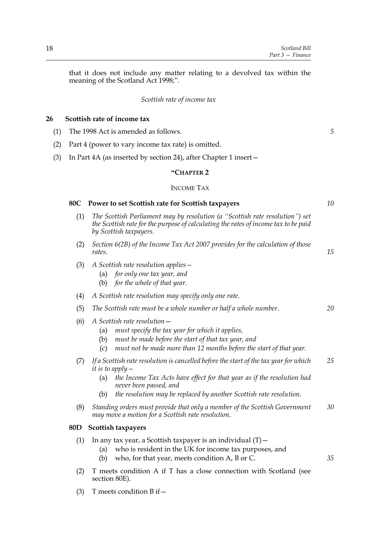that it does not include any matter relating to a devolved tax within the meaning of the Scotland Act 1998;".

### *Scottish rate of income tax*

### <span id="page-23-1"></span><span id="page-23-0"></span>**26 Scottish rate of income tax**

- (1) The 1998 Act is amended as follows.
- (2) Part 4 (power to vary income tax rate) is omitted.
- (3) In Part 4A (as inserted by section [24\)](#page-21-1), after Chapter 1 insert  $-$

### **ìCHAPTER 2**

### INCOME TAX

### **80C Power to set Scottish rate for Scottish taxpayers**

- (1) *The Scottish Parliament may by resolution (a "Scottish rate resolution") set the Scottish rate for the purpose of calculating the rates of income tax to be paid by Scottish taxpayers.*
- (2) *Section 6(2B) of the Income Tax Act 2007 provides for the calculation of those rates*.
- (3) *A Scottish rate resolution applies* 
	- (a) *for only one tax year, and*
	- (b) *for the whole of that year.*
- (4) *A Scottish rate resolution may specify only one rate*.
- (5) *The Scottish rate must be a whole number or half a whole number*. *20*
- $(6)$  A Scottish rate resolution
	- (a) *must specify the tax year for which it applies,*
	- (b) *must be made before the start of that tax year, and*
	- (c) *must not be made more than 12 months before the start of that year.*
- (7) *If a Scottish rate resolution is cancelled before the start of the tax year for which it is to apply*  $-$ *25*
	- (a) *the Income Tax Acts have effect for that year as if the resolution had never been passed, and*
	- (b) *the resolution may be replaced by another Scottish rate resolution.*
- (8) *Standing orders must provide that only a member of the Scottish Government may move a motion for a Scottish rate resolution*. *30*

### **80D Scottish taxpayers**

- (1) In any tax year, a Scottish taxpayer is an individual  $(T)$  -
	- (a) who is resident in the UK for income tax purposes, and
	- (b) who, for that year, meets condition A, B or C.
- (2) T meets condition A if T has a close connection with Scotland (see section 80E).
- (3) T meets condition B if  $-$

*5*

*15*

*35*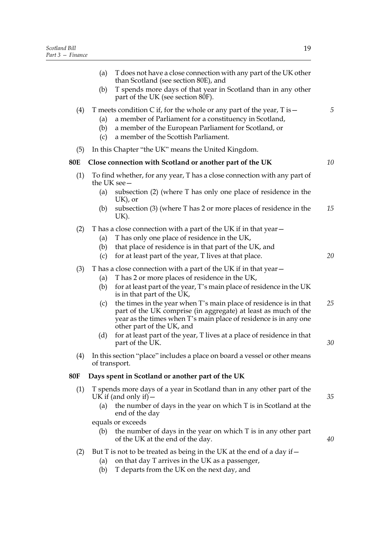|     | T does not have a close connection with any part of the UK other<br>(a)<br>than Scotland (see section 80E), and<br>T spends more days of that year in Scotland than in any other<br>(b)<br>part of the UK (see section 80F).                                                                                                                                                                                                                                                                                                                                                             |          |  |
|-----|------------------------------------------------------------------------------------------------------------------------------------------------------------------------------------------------------------------------------------------------------------------------------------------------------------------------------------------------------------------------------------------------------------------------------------------------------------------------------------------------------------------------------------------------------------------------------------------|----------|--|
| (4) | T meets condition C if, for the whole or any part of the year, $T$ is $-$<br>a member of Parliament for a constituency in Scotland,<br>(a)<br>a member of the European Parliament for Scotland, or<br>(b)<br>a member of the Scottish Parliament.<br>(c)                                                                                                                                                                                                                                                                                                                                 |          |  |
| (5) | In this Chapter "the UK" means the United Kingdom.                                                                                                                                                                                                                                                                                                                                                                                                                                                                                                                                       |          |  |
| 80E | Close connection with Scotland or another part of the UK                                                                                                                                                                                                                                                                                                                                                                                                                                                                                                                                 | 10       |  |
| (1) | To find whether, for any year, T has a close connection with any part of<br>the UK see-<br>subsection (2) (where T has only one place of residence in the<br>(a)<br>$UK$ ), or<br>subsection (3) (where T has 2 or more places of residence in the<br>(b)<br>UK).                                                                                                                                                                                                                                                                                                                        | 15       |  |
| (2) | T has a close connection with a part of the UK if in that year –<br>T has only one place of residence in the UK,<br>(a)<br>that place of residence is in that part of the UK, and<br>(b)<br>for at least part of the year, T lives at that place.<br>(c)                                                                                                                                                                                                                                                                                                                                 | 20       |  |
| (3) | T has a close connection with a part of the UK if in that year-<br>T has 2 or more places of residence in the UK,<br>(a)<br>for at least part of the year, T's main place of residence in the UK<br>(b)<br>is in that part of the UK,<br>the times in the year when T's main place of residence is in that<br>(c)<br>part of the UK comprise (in aggregate) at least as much of the<br>year as the times when T's main place of residence is in any one<br>other part of the UK, and<br>for at least part of the year, T lives at a place of residence in that<br>(d)<br>part of the UK. | 25<br>30 |  |
| (4) | In this section "place" includes a place on board a vessel or other means<br>of transport.                                                                                                                                                                                                                                                                                                                                                                                                                                                                                               |          |  |
| 80F | Days spent in Scotland or another part of the UK                                                                                                                                                                                                                                                                                                                                                                                                                                                                                                                                         |          |  |
| (1) | T spends more days of a year in Scotland than in any other part of the<br>UK if (and only if) $-$<br>(a) the number of days in the year on which T is in Scotland at the<br>end of the day<br>equals or exceeds<br>the number of days in the year on which $T$ is in any other part<br>(b)                                                                                                                                                                                                                                                                                               | 35       |  |
| (2) | of the UK at the end of the day.<br>But T is not to be treated as being in the UK at the end of a day if -                                                                                                                                                                                                                                                                                                                                                                                                                                                                               | 40       |  |
|     |                                                                                                                                                                                                                                                                                                                                                                                                                                                                                                                                                                                          |          |  |

- (a) on that day T arrives in the UK as a passenger,
- (b) T departs from the UK on the next day, and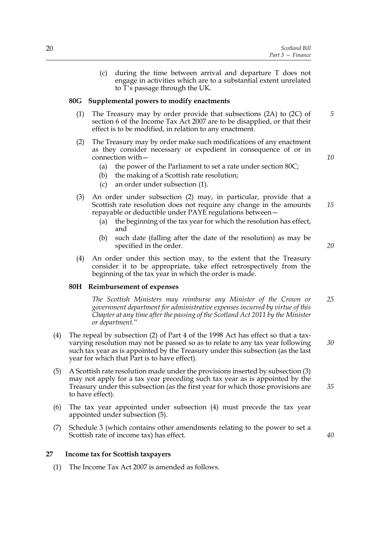(c) during the time between arrival and departure T does not engage in activities which are to a substantial extent unrelated to T's passage through the UK.

### **80G Supplemental powers to modify enactments**

- (1) The Treasury may by order provide that subsections (2A) to (2C) of section 6 of the Income Tax Act 2007 are to be disapplied, or that their effect is to be modified, in relation to any enactment.
- (2) The Treasury may by order make such modifications of any enactment as they consider necessary or expedient in consequence of or in connection with  $-$ 
	- (a) the power of the Parliament to set a rate under section 80C;
	- (b) the making of a Scottish rate resolution;
	- (c) an order under subsection (1).
- (3) An order under subsection (2) may, in particular, provide that a Scottish rate resolution does not require any change in the amounts repayable or deductible under PAYE regulations between -
	- (a) the beginning of the tax year for which the resolution has effect, and
	- (b) such date (falling after the date of the resolution) as may be specified in the order.
- (4) An order under this section may, to the extent that the Treasury consider it to be appropriate, take effect retrospectively from the beginning of the tax year in which the order is made.

### **80H Reimbursement of expenses**

*The Scottish Ministers may reimburse any Minister of the Crown or government department for administrative expenses incurred by virtue of this Chapter at any time after the passing of the Scotland Act 2011 by the Minister or department.*î *25*

- (4) The repeal by subsection (2) of Part 4 of the 1998 Act has effect so that a taxvarying resolution may not be passed so as to relate to any tax year following such tax year as is appointed by the Treasury under this subsection (as the last year for which that Part is to have effect). *30*
- (5) A Scottish rate resolution made under the provisions inserted by subsection (3) may not apply for a tax year preceding such tax year as is appointed by the Treasury under this subsection (as the first year for which those provisions are to have effect).
- (6) The tax year appointed under subsection (4) must precede the tax year appointed under subsection (5).
- (7) Schedule [3](#page-37-0) (which contains other amendments relating to the power to set a Scottish rate of income tax) has effect.

### <span id="page-25-1"></span><span id="page-25-0"></span>**27 Income tax for Scottish taxpayers**

(1) The Income Tax Act 2007 is amended as follows.

*15*

*10*

*5*

*20*

*35*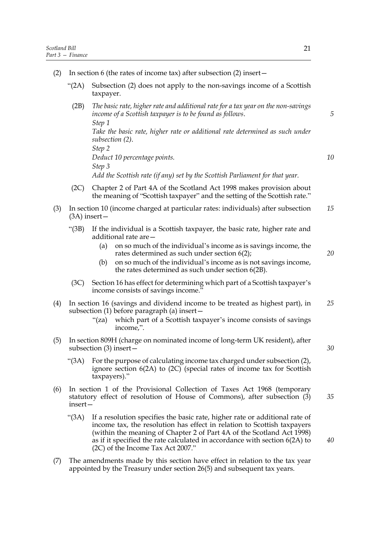| (2) | In section 6 (the rates of income tax) after subsection $(2)$ insert -                                                                                   |                                                                                                                                                                                                                                                                                                                                                      |    |  |  |  |  |
|-----|----------------------------------------------------------------------------------------------------------------------------------------------------------|------------------------------------------------------------------------------------------------------------------------------------------------------------------------------------------------------------------------------------------------------------------------------------------------------------------------------------------------------|----|--|--|--|--|
|     | " $(2A)$                                                                                                                                                 | Subsection (2) does not apply to the non-savings income of a Scottish<br>taxpayer.                                                                                                                                                                                                                                                                   |    |  |  |  |  |
|     | (2B)                                                                                                                                                     | The basic rate, higher rate and additional rate for a tax year on the non-savings<br>income of a Scottish taxpayer is to be found as follows.<br>Step 1                                                                                                                                                                                              | 5  |  |  |  |  |
|     |                                                                                                                                                          | Take the basic rate, higher rate or additional rate determined as such under<br>subsection (2).<br>Step 2                                                                                                                                                                                                                                            |    |  |  |  |  |
|     |                                                                                                                                                          | Deduct 10 percentage points.<br>Step 3                                                                                                                                                                                                                                                                                                               | 10 |  |  |  |  |
|     |                                                                                                                                                          | Add the Scottish rate (if any) set by the Scottish Parliament for that year.                                                                                                                                                                                                                                                                         |    |  |  |  |  |
|     | (2C)<br>Chapter 2 of Part 4A of the Scotland Act 1998 makes provision about<br>the meaning of "Scottish taxpayer" and the setting of the Scottish rate." |                                                                                                                                                                                                                                                                                                                                                      |    |  |  |  |  |
| (3) | In section 10 (income charged at particular rates: individuals) after subsection<br>$(3A)$ insert —                                                      |                                                                                                                                                                                                                                                                                                                                                      |    |  |  |  |  |
|     | " $(3B)$                                                                                                                                                 | If the individual is a Scottish taxpayer, the basic rate, higher rate and<br>additional rate are-                                                                                                                                                                                                                                                    |    |  |  |  |  |
|     |                                                                                                                                                          | on so much of the individual's income as is savings income, the<br>(a)<br>rates determined as such under section $6(2)$ ;                                                                                                                                                                                                                            | 20 |  |  |  |  |
|     |                                                                                                                                                          | on so much of the individual's income as is not savings income,<br>(b)<br>the rates determined as such under section 6(2B).                                                                                                                                                                                                                          |    |  |  |  |  |
|     | (3C)                                                                                                                                                     | Section 16 has effect for determining which part of a Scottish taxpayer's<br>income consists of savings income."                                                                                                                                                                                                                                     |    |  |  |  |  |
| (4) |                                                                                                                                                          | In section 16 (savings and dividend income to be treated as highest part), in<br>subsection $(1)$ before paragraph $(a)$ insert $-$                                                                                                                                                                                                                  | 25 |  |  |  |  |
|     |                                                                                                                                                          | which part of a Scottish taxpayer's income consists of savings<br>"(za)<br>income,".                                                                                                                                                                                                                                                                 |    |  |  |  |  |
| (5) | In section 809H (charge on nominated income of long-term UK resident), after<br>subsection $(3)$ insert –                                                |                                                                                                                                                                                                                                                                                                                                                      |    |  |  |  |  |
|     | "(3A)                                                                                                                                                    | For the purpose of calculating income tax charged under subsection (2),<br>ignore section $6(2A)$ to $(2C)$ (special rates of income tax for Scottish<br>taxpayers)."                                                                                                                                                                                |    |  |  |  |  |
| (6) | insert-                                                                                                                                                  | In section 1 of the Provisional Collection of Taxes Act 1968 (temporary<br>statutory effect of resolution of House of Commons), after subsection (3)                                                                                                                                                                                                 | 35 |  |  |  |  |
|     | " $(3A)$                                                                                                                                                 | If a resolution specifies the basic rate, higher rate or additional rate of<br>income tax, the resolution has effect in relation to Scottish taxpayers<br>(within the meaning of Chapter 2 of Part 4A of the Scotland Act 1998)<br>as if it specified the rate calculated in accordance with section $6(2A)$ to<br>(2C) of the Income Tax Act 2007." | 40 |  |  |  |  |
| (7) |                                                                                                                                                          | The amendments made by this section have effect in relation to the tax year                                                                                                                                                                                                                                                                          |    |  |  |  |  |

(7) The amendments made by this section have effect in relation to the tax year appointed by the Treasury under section [26\(](#page-23-1)5) and subsequent tax years.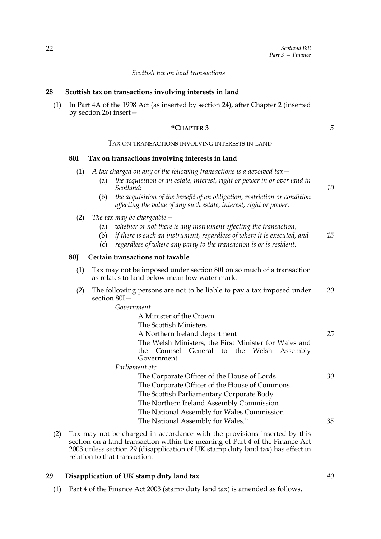*10*

### *Scottish tax on land transactions*

### <span id="page-27-3"></span><span id="page-27-0"></span>**28 Scottish tax on transactions involving interests in land**

(1) In Part 4A of the 1998 Act (as inserted by section [24\)](#page-21-1), after Chapter 2 (inserted by section [26\)](#page-23-1) insert $-$ 

### **ìCHAPTER 3**

### TAX ON TRANSACTIONS INVOLVING INTERESTS IN LAND

### **80I Tax on transactions involving interests in land**

- (1) *A tax charged on any of the following transactions is a devolved tax*ó
	- (a) *the acquisition of an estate, interest, right or power in or over land in Scotland;*
	- (b) *the acquisition of the benefit of an obligation, restriction or condition affecting the value of any such estate, interest, right or power.*
- (2) *The tax may be chargeable*  $-$ 
	- (a) *whether or not there is any instrument effecting the transaction*,
	- (b) *if there is such an instrument, regardless of where it is executed, and 15*
	- (c) *regardless of where any party to the transaction is or is resident*.

### **80J Certain transactions not taxable**

- (1) Tax may not be imposed under section 80I on so much of a transaction as relates to land below mean low water mark.
- (2) The following persons are not to be liable to pay a tax imposed under section 80I-*20*

*Government*

|                | A Minister of the Crown                                                                                          |    |
|----------------|------------------------------------------------------------------------------------------------------------------|----|
|                | The Scottish Ministers                                                                                           |    |
|                | A Northern Ireland department                                                                                    | 25 |
|                | The Welsh Ministers, the First Minister for Wales and<br>the Counsel General to the Welsh Assembly<br>Government |    |
| Parliament etc |                                                                                                                  |    |
|                | The Corporate Officer of the House of Lords                                                                      | 30 |
|                | The Corporate Officer of the House of Commons                                                                    |    |
|                | The Scottish Parliamentary Corporate Body                                                                        |    |
|                | The Northern Ireland Assembly Commission                                                                         |    |
|                | The National Assembly for Wales Commission                                                                       |    |
|                | The National Assembly for Wales."                                                                                | 35 |
|                |                                                                                                                  |    |

(2) Tax may not be charged in accordance with the provisions inserted by this section on a land transaction within the meaning of Part 4 of the Finance Act 2003 unless section [29](#page-27-2) (disapplication of UK stamp duty land tax) has effect in relation to that transaction.

### <span id="page-27-2"></span><span id="page-27-1"></span>**29 Disapplication of UK stamp duty land tax**

(1) Part 4 of the Finance Act 2003 (stamp duty land tax) is amended as follows.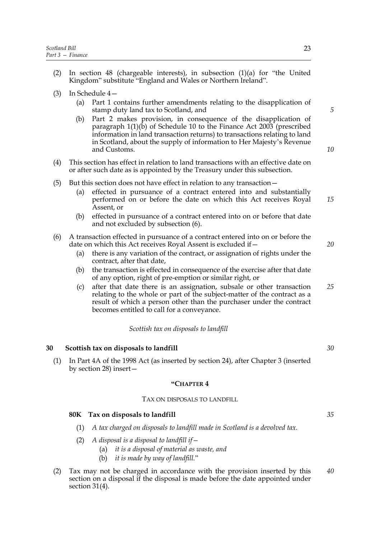- (2) In section 48 (chargeable interests), in subsection  $(1)(a)$  for "the United Kingdom" substitute "England and Wales or Northern Ireland".
- (3) In Schedule  $4 4-$ 
	- (a) Part 1 contains further amendments relating to the disapplication of stamp duty land tax to Scotland, and
	- (b) Part 2 makes provision, in consequence of the disapplication of paragraph 1(1)(b) of Schedule 10 to the Finance Act 2003 (prescribed information in land transaction returns) to transactions relating to land in Scotland, about the supply of information to Her Majesty's Revenue and Customs.
- (4) This section has effect in relation to land transactions with an effective date on or after such date as is appointed by the Treasury under this subsection.
- (5) But this section does not have effect in relation to any transaction  $-$ 
	- (a) effected in pursuance of a contract entered into and substantially performed on or before the date on which this Act receives Royal Assent, or
	- (b) effected in pursuance of a contract entered into on or before that date and not excluded by subsection (6).
- (6) A transaction effected in pursuance of a contract entered into on or before the date on which this Act receives Royal Assent is excluded if $-$ 
	- (a) there is any variation of the contract, or assignation of rights under the contract, after that date,
	- (b) the transaction is effected in consequence of the exercise after that date of any option, right of pre-emption or similar right, or
	- (c) after that date there is an assignation, subsale or other transaction relating to the whole or part of the subject-matter of the contract as a result of which a person other than the purchaser under the contract becomes entitled to call for a conveyance. *25*

### *Scottish tax on disposals to landfill*

### <span id="page-28-1"></span><span id="page-28-0"></span>**30 Scottish tax on disposals to landfill**

(1) In Part 4A of the 1998 Act (as inserted by section [24\)](#page-21-1), after Chapter 3 (inserted by section [28\)](#page-27-3) insert $-$ 

### **ìCHAPTER 4**

### TAX ON DISPOSALS TO LANDFILL

### **80K Tax on disposals to landfill**

- (1) *A tax charged on disposals to landfill made in Scotland is a devolved tax.*
- $(2)$  A disposal is a disposal to landfill if  $-$ 
	- (a) *it is a disposal of material as waste, and*
	- (b) *it is made by way of landfill.*"
- (2) Tax may not be charged in accordance with the provision inserted by this section on a disposal if the disposal is made before the date appointed under section [31\(](#page-29-2)4). *40*

*30*

### *10*

*5*

*20*

*15*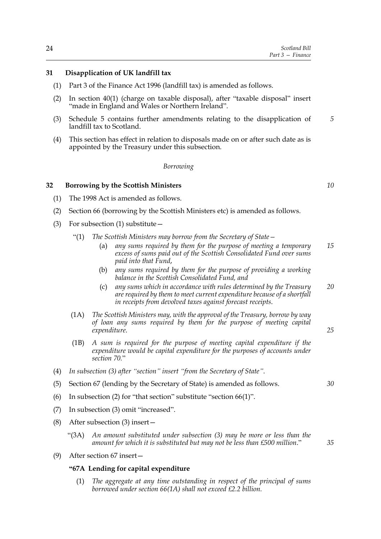### <span id="page-29-2"></span><span id="page-29-0"></span>**31 Disapplication of UK landfill tax**

- (1) Part 3 of the Finance Act 1996 (landfill tax) is amended as follows.
- (2) In section  $40(1)$  (charge on taxable disposal), after "taxable disposal" insert "made in England and Wales or Northern Ireland".
- (3) Schedule [5](#page-42-0) contains further amendments relating to the disapplication of landfill tax to Scotland.
- (4) This section has effect in relation to disposals made on or after such date as is appointed by the Treasury under this subsection.

### *Borrowing*

### <span id="page-29-3"></span><span id="page-29-1"></span>**32 Borrowing by the Scottish Ministers**

- (1) The 1998 Act is amended as follows.
- (2) Section 66 (borrowing by the Scottish Ministers etc) is amended as follows.
- (3) For subsection (1) substitute  $-$ 
	- "(1) *The Scottish Ministers may borrow from the Secretary of State* 
		- any sums required by them for the purpose of meeting a temporary *excess of sums paid out of the Scottish Consolidated Fund over sums paid into that Fund*, *15*
		- (b) *any sums required by them for the purpose of providing a working balance in the Scottish Consolidated Fund, and*
		- (c) *any sums which in accordance with rules determined by the Treasury are required by them to meet current expenditure because of a shortfall in receipts from devolved taxes against forecast receipts*. *20*
	- (1A) *The Scottish Ministers may, with the approval of the Treasury, borrow by way of loan any sums required by them for the purpose of meeting capital expenditure*.
	- (1B) *A sum is required for the purpose of meeting capital expenditure if the expenditure would be capital expenditure for the purposes of accounts under section 70.*î
- (4) In subsection (3) after "section" insert "from the Secretary of State".
- (5) Section 67 (lending by the Secretary of State) is amended as follows.
- (6) In subsection (2) for "that section" substitute "section 66(1)".
- $(7)$  In subsection  $(3)$  omit "increased".
- (8) After subsection (3) insert  $$ 
	- ì(3A) *An amount substituted under subsection (3) may be more or less than the* amount for which it is substituted but may not be less than £500 million."
- (9) After section  $67$  insert  $-$

### **ì67A Lending for capital expenditure**

(1) *The aggregate at any time outstanding in respect of the principal of sums borrowed under section 66(1A) shall not exceed £2.2 billion.*

*10*

*5*

*25*

*35*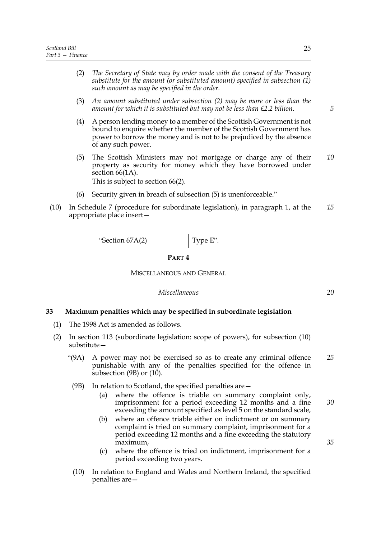- (2) *The Secretary of State may by order made with the consent of the Treasury substitute for the amount (or substituted amount) specified in subsection (1) such amount as may be specified in the order.*
- (3) *An amount substituted under subsection (2) may be more or less than the amount for which it is substituted but may not be less than £2.2 billion*.
- (4) A person lending money to a member of the Scottish Government is not bound to enquire whether the member of the Scottish Government has power to borrow the money and is not to be prejudiced by the absence of any such power.
- (5) The Scottish Ministers may not mortgage or charge any of their property as security for money which they have borrowed under section 66(1A). *10*

This is subject to section 66(2).

- (6) Security given in breach of subsection  $(5)$  is unenforceable."
- (10) In Schedule 7 (procedure for subordinate legislation), in paragraph 1, at the appropriate place insert $-$ *15*

 $\text{``Section 67A(2)}$  Type E".

### **PART 4**

MISCELLANEOUS AND GENERAL

### *Miscellaneous*

### <span id="page-30-1"></span><span id="page-30-0"></span>**33 Maximum penalties which may be specified in subordinate legislation**

- (1) The 1998 Act is amended as follows.
- (2) In section 113 (subordinate legislation: scope of powers), for subsection (10)  $substitute$ 
	- ì(9A) A power may not be exercised so as to create any criminal offence punishable with any of the penalties specified for the offence in subsection (9B) or (10). *25*
	- (9B) In relation to Scotland, the specified penalties are  $-$ 
		- (a) where the offence is triable on summary complaint only, imprisonment for a period exceeding 12 months and a fine exceeding the amount specified as level 5 on the standard scale,
		- (b) where an offence triable either on indictment or on summary complaint is tried on summary complaint, imprisonment for a period exceeding 12 months and a fine exceeding the statutory maximum,
		- (c) where the offence is tried on indictment, imprisonment for a period exceeding two years.
	- (10) In relation to England and Wales and Northern Ireland, the specified penalties are $-$

25

*5*

*20*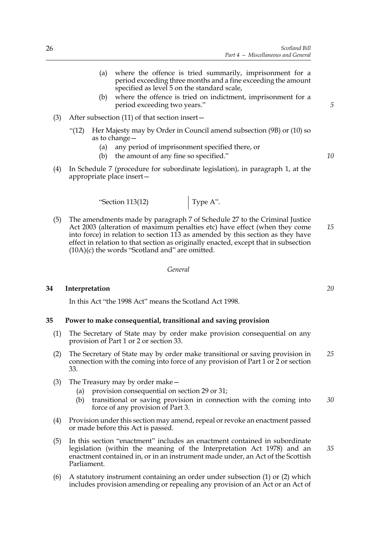- (a) where the offence is tried summarily, imprisonment for a period exceeding three months and a fine exceeding the amount specified as level 5 on the standard scale,
- (b) where the offence is tried on indictment, imprisonment for a period exceeding two years."
- (3) After subsection  $(11)$  of that section insert
	- $\lq$ (12) Her Majesty may by Order in Council amend subsection (9B) or (10) so as to change  $-$ 
		- (a) any period of imprisonment specified there, or
		- $(b)$  the amount of any fine so specified."
- (4) In Schedule 7 (procedure for subordinate legislation), in paragraph 1, at the appropriate place insert $-$

 $\text{``Section 113(12)}$  Type A".

(5) The amendments made by paragraph 7 of Schedule 27 to the Criminal Justice Act 2003 (alteration of maximum penalties etc) have effect (when they come into force) in relation to section 113 as amended by this section as they have effect in relation to that section as originally enacted, except that in subsection  $(10A)(c)$  the words "Scotland and" are omitted. *15*

*General*

### <span id="page-31-2"></span>**34 Interpretation**

<span id="page-31-1"></span><span id="page-31-0"></span>In this Act "the 1998 Act" means the Scotland Act 1998.

### **35 Power to make consequential, transitional and saving provision**

- (1) The Secretary of State may by order make provision consequential on any provision of Part 1 or 2 or section [33.](#page-30-1)
- (2) The Secretary of State may by order make transitional or saving provision in connection with the coming into force of any provision of Part 1 or 2 or section [33.](#page-30-1) *25*
- (3) The Treasury may by order make  $-$ 
	- (a) provision consequential on section 29 or 31;
	- (b) transitional or saving provision in connection with the coming into force of any provision of Part 3. *30*
- (4) Provision under this section may amend, repeal or revoke an enactment passed or made before this Act is passed.
- $(5)$  In this section "enactment" includes an enactment contained in subordinate legislation (within the meaning of the Interpretation Act 1978) and an enactment contained in, or in an instrument made under, an Act of the Scottish Parliament. *35*
- (6) A statutory instrument containing an order under subsection (1) or (2) which includes provision amending or repealing any provision of an Act or an Act of

*20*

*5*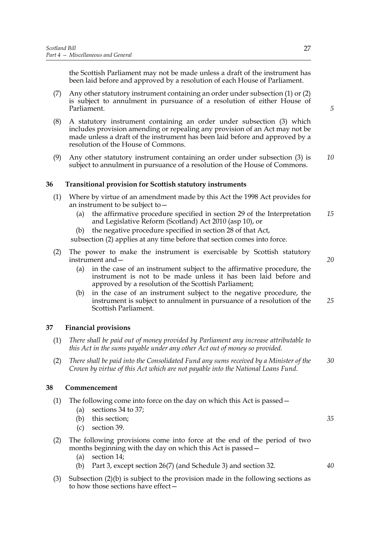the Scottish Parliament may not be made unless a draft of the instrument has been laid before and approved by a resolution of each House of Parliament.

- (7) Any other statutory instrument containing an order under subsection (1) or (2) is subject to annulment in pursuance of a resolution of either House of Parliament.
- (8) A statutory instrument containing an order under subsection (3) which includes provision amending or repealing any provision of an Act may not be made unless a draft of the instrument has been laid before and approved by a resolution of the House of Commons.
- (9) Any other statutory instrument containing an order under subsection (3) is subject to annulment in pursuance of a resolution of the House of Commons. *10*

### <span id="page-32-0"></span>**36 Transitional provision for Scottish statutory instruments**

- (1) Where by virtue of an amendment made by this Act the 1998 Act provides for an instrument to be subject to  $-$ 
	- (a) the affirmative procedure specified in section 29 of the Interpretation and Legislative Reform (Scotland) Act 2010 (asp 10), or *15*
	- (b) the negative procedure specified in section 28 of that Act,

subsection (2) applies at any time before that section comes into force.

- (2) The power to make the instrument is exercisable by Scottish statutory instrument and  $-$ 
	- (a) in the case of an instrument subject to the affirmative procedure, the instrument is not to be made unless it has been laid before and approved by a resolution of the Scottish Parliament;
	- (b) in the case of an instrument subject to the negative procedure, the instrument is subject to annulment in pursuance of a resolution of the Scottish Parliament. *25*

### <span id="page-32-3"></span><span id="page-32-1"></span>**37 Financial provisions**

- (1) *There shall be paid out of money provided by Parliament any increase attributable to this Act in the sums payable under any other Act out of money so provided.*
- (2) *There shall be paid into the Consolidated Fund any sums received by a Minister of the Crown by virtue of this Act which are not payable into the National Loans Fund. 30*

### <span id="page-32-2"></span>**38 Commencement**

- (1) The following come into force on the day on which this Act is passed  $-$ 
	- (a) sections [34](#page-31-2) to [37](#page-32-3);
	- (b) this section;
	- (c) section 39.
- (2) The following provisions come into force at the end of the period of two months beginning with the day on which this Act is passed  $-$ 
	- (a) section [14;](#page-14-3)
	- (b) Part 3, except section [26](#page-23-1)(7) (and Schedule [3](#page-37-0)) and section [32.](#page-29-3)
- (3) Subsection  $(2)(b)$  is subject to the provision made in the following sections as to how those sections have effect $\dot{-}$

*35*

*40*

*20*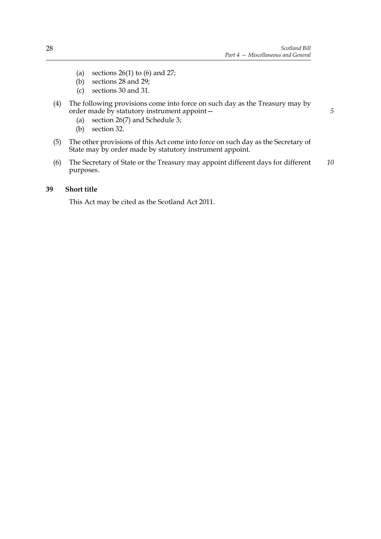- (a) sections  $26(1)$  to  $(6)$  and  $27$ ;
- (b) sections [28](#page-27-3) and [29](#page-27-2);
- (c) sections [30](#page-28-1) and [31](#page-29-2).
- (4) The following provisions come into force on such day as the Treasury may by order made by statutory instrument appoint $-$ 
	- (a) section [26\(](#page-23-1)7) and Schedule [3;](#page-37-0)
	- (b) section [32.](#page-29-3)
- (5) The other provisions of this Act come into force on such day as the Secretary of State may by order made by statutory instrument appoint.
- (6) The Secretary of State or the Treasury may appoint different days for different purposes. *10*

### **39 Short title**

<span id="page-33-0"></span>This Act may be cited as the Scotland Act 2011.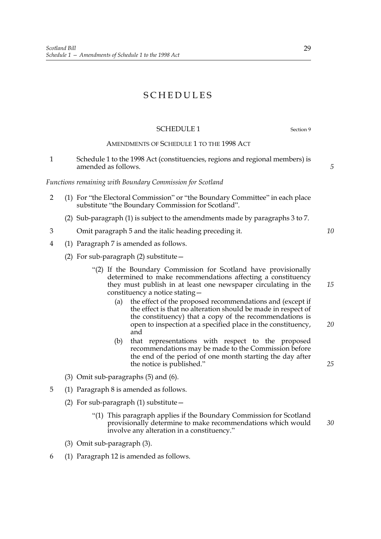### SCHEDULES

### <span id="page-34-0"></span>SCHEDULE 1 Section [9](#page-12-0)

AMENDMENTS OF SCHEDULE 1 TO THE 1998 ACT

1 Schedule 1 to the 1998 Act (constituencies, regions and regional members) is amended as follows.

*Functions remaining with Boundary Commission for Scotland*

- 2 (1) For "the Electoral Commission" or "the Boundary Committee" in each place substitute "the Boundary Commission for Scotland".
	- (2) Sub-paragraph (1) is subject to the amendments made by paragraphs 3 to 7.
- 3 Omit paragraph 5 and the italic heading preceding it.
- 4 (1) Paragraph 7 is amended as follows.
	- (2) For sub-paragraph (2) substitute  $$ 
		- ì(2) If the Boundary Commission for Scotland have provisionally determined to make recommendations affecting a constituency they must publish in at least one newspaper circulating in the constituency a notice stating  $-$ 
			- (a) the effect of the proposed recommendations and (except if the effect is that no alteration should be made in respect of the constituency) that a copy of the recommendations is open to inspection at a specified place in the constituency, and *20*
			- (b) that representations with respect to the proposed recommendations may be made to the Commission before the end of the period of one month starting the day after the notice is published."
	- (3) Omit sub-paragraphs (5) and (6).
- 5 (1) Paragraph 8 is amended as follows.
	- (2) For sub-paragraph  $(1)$  substitute  $$ 
		- ì(1) This paragraph applies if the Boundary Commission for Scotland provisionally determine to make recommendations which would involve any alteration in a constituency." *30*
	- (3) Omit sub-paragraph (3).
- 6 (1) Paragraph 12 is amended as follows.

29

*5*

*10*

*15*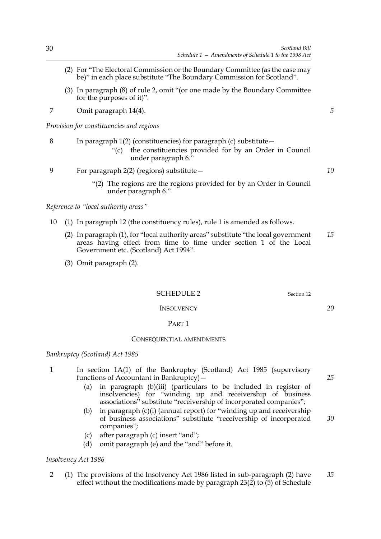- $(2)$  For "The Electoral Commission or the Boundary Committee (as the case may be)" in each place substitute "The Boundary Commission for Scotland".
- (3) In paragraph  $(8)$  of rule 2, omit "(or one made by the Boundary Committee for the purposes of it)".
- 7 Omit paragraph 14(4).

*Provision for constituencies and regions*

| 8 | In paragraph $1(2)$ (constituencies) for paragraph (c) substitute $-$ |  |  |  |  |  |  |
|---|-----------------------------------------------------------------------|--|--|--|--|--|--|
|   |                                                                       |  |  |  |  |  |  |

- the constituencies provided for by an Order in Council under paragraph  $6<sup>3</sup>$
- 9 For paragraph  $2(2)$  (regions) substitute  $$ 
	- ì(2) The regions are the regions provided for by an Order in Council under paragraph 6."

*Reference to "local authority areas"* 

- 10 (1) In paragraph 12 (the constituency rules), rule 1 is amended as follows.
	- $(2)$  In paragraph  $(1)$ , for "local authority areas" substitute "the local government areas having effect from time to time under section 1 of the Local Government etc. (Scotland) Act 1994". *15*
	- (3) Omit paragraph (2).

<span id="page-35-0"></span>SCHEDULE 2 Section [12](#page-12-3)

### **INSOLVENCY**

### PART 1

### CONSEQUENTIAL AMENDMENTS

### *Bankruptcy (Scotland) Act 1985*

- 1 In section 1A(1) of the Bankruptcy (Scotland) Act 1985 (supervisory functions of Accountant in Bankruptcy $)-$ 
	- (a) in paragraph (b)(iii) (particulars to be included in register of insolvencies) for "winding up and receivership of business associations" substitute "receivership of incorporated companies";
	- (b) in paragraph  $(c)(i)$  (annual report) for "winding up and receivership of business associations" substitute "receivership of incorporated companies"; *30*
	- (c) after paragraph (c) insert "and";
	- (d) omit paragraph (e) and the "and" before it.

*Insolvency Act 1986*

2 (1) The provisions of the Insolvency Act 1986 listed in sub-paragraph (2) have effect without the modifications made by paragraph  $23(2)$  to  $(5)$  of Schedule *35*

*25*

*10*

*5*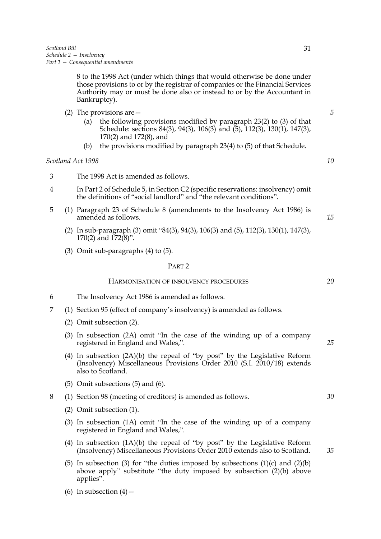8 to the 1998 Act (under which things that would otherwise be done under those provisions to or by the registrar of companies or the Financial Services Authority may or must be done also or instead to or by the Accountant in Bankruptcy).

- (2) The provisions are  $$ 
	- the following provisions modified by paragraph  $23(2)$  to  $(3)$  of that Schedule: sections 84(3), 94(3), 106(3) and (5), 112(3), 130(1), 147(3), 170(2) and 172(8), and
	- (b) the provisions modified by paragraph 23(4) to (5) of that Schedule.

### *Scotland Act 1998*

- 3 The 1998 Act is amended as follows.
- 4 In Part 2 of Schedule 5, in Section C2 (specific reservations: insolvency) omit the definitions of "social landlord" and "the relevant conditions".
- 5 (1) Paragraph 23 of Schedule 8 (amendments to the Insolvency Act 1986) is amended as follows.
	- (2) In sub-paragraph (3) omit  $484(3)$ ,  $94(3)$ ,  $106(3)$  and (5),  $112(3)$ ,  $130(1)$ ,  $147(3)$ , 170(2) and 172(8)".
	- (3) Omit sub-paragraphs (4) to (5).

### PART 2

### HARMONISATION OF INSOLVENCY PROCEDURES

- 6 The Insolvency Act 1986 is amended as follows.
- 7 (1) Section 95 (effect of company's insolvency) is amended as follows.
	- (2) Omit subsection (2).
	- $(3)$  In subsection  $(2A)$  omit "In the case of the winding up of a company registered in England and Wales,".
	- (4) In subsection  $(2A)(b)$  the repeal of "by post" by the Legislative Reform (Insolvency) Miscellaneous Provisions Order 2010 (S.I. 2010/18) extends also to Scotland.
	- (5) Omit subsections (5) and (6).

8 (1) Section 98 (meeting of creditors) is amended as follows.

- (2) Omit subsection (1).
- (3) In subsection  $(1A)$  omit "In the case of the winding up of a company registered in England and Wales,".
- (4) In subsection  $(1A)(b)$  the repeal of "by post" by the Legislative Reform (Insolvency) Miscellaneous Provisions Order 2010 extends also to Scotland.
- (5) In subsection (3) for "the duties imposed by subsections  $(1)(c)$  and  $(2)(b)$ above apply" substitute "the duty imposed by subsection  $(2)(b)$  above applies".
- (6) In subsection  $(4)$  –

*5*

*10*

*15*

*25*

*20*

*30*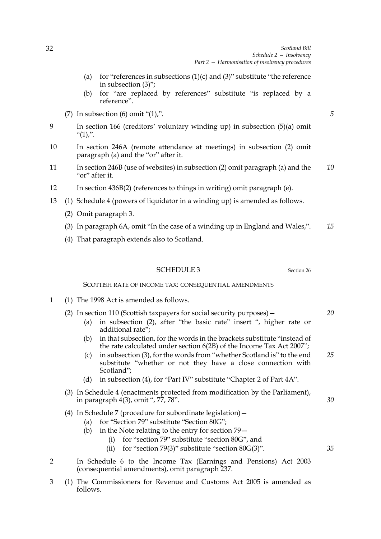- (a) for "references in subsections  $(1)(c)$  and  $(3)$ " substitute "the reference in subsection  $(3)$ ";
- (b) for "are replaced by references" substitute "is replaced by a reference".
- (7) In subsection  $(6)$  omit " $(1)$ ,".
- 9 In section 166 (creditors' voluntary winding up) in subsection (5)(a) omit  $\lq(1),\lq$ .
- 10 In section 246A (remote attendance at meetings) in subsection (2) omit paragraph (a) and the " $or$ " after it.
- 11 In section 246B (use of websites) in subsection (2) omit paragraph (a) and the "or" after it. *10*
- 12 In section 436B(2) (references to things in writing) omit paragraph (e).
- 13 (1) Schedule 4 (powers of liquidator in a winding up) is amended as follows.
	- (2) Omit paragraph 3.
	- (3) In paragraph  $6A$ , omit "In the case of a winding up in England and Wales,". *15*
	- (4) That paragraph extends also to Scotland.

SCOTTISH RATE OF INCOME TAX: CONSEQUENTIAL AMENDMENTS

- 1 (1) The 1998 Act is amended as follows.
	- (2) In section 110 (Scottish taxpayers for social security purposes)  $-$ 
		- (a) in subsection  $(2)$ , after "the basic rate" insert ", higher rate or additional rate":
		- $(b)$  in that subsection, for the words in the brackets substitute "instead of the rate calculated under section  $6(2B)$  of the Income Tax Act 2007";
		- (c) in subsection  $(3)$ , for the words from "whether Scotland is" to the end substitute "whether or not they have a close connection with Scotland"; *25*
		- (d) in subsection (4), for "Part IV" substitute "Chapter 2 of Part  $4A$ ".
	- (3) In Schedule 4 (enactments protected from modification by the Parliament), in paragraph  $4(3)$ , omit ", 77, 78".
	- (4) In Schedule 7 (procedure for subordinate legislation)  $-$ 
		- (a) for "Section 79" substitute "Section 80G";
		- (b) in the Note relating to the entry for section  $79$ 
			- (i) for "section  $79$ " substitute "section  $80G$ ", and
			- (ii) for "section 79(3)" substitute "section  $80G(3)$ ".
- 2 In Schedule 6 to the Income Tax (Earnings and Pensions) Act 2003 (consequential amendments), omit paragraph 237.
- 3 (1) The Commissioners for Revenue and Customs Act 2005 is amended as follows.

<span id="page-37-0"></span>

*20*

*5*

*30*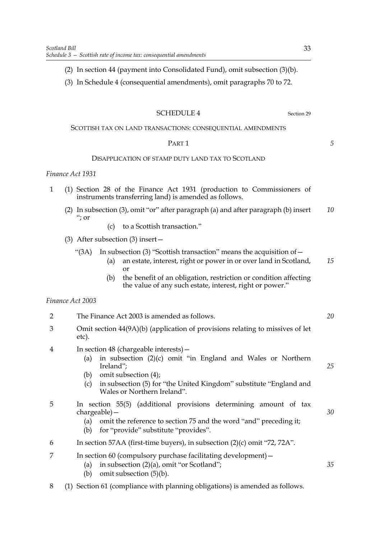(3) In Schedule 4 (consequential amendments), omit paragraphs 70 to 72.

### <span id="page-38-0"></span>SCHEDULE 4 Section [29](#page-27-1)

### SCOTTISH TAX ON LAND TRANSACTIONS: CONSEQUENTIAL AMENDMENTS

### PART 1

### DISAPPLICATION OF STAMP DUTY LAND TAX TO SCOTLAND

### *Finance Act 1931*

- 1 (1) Section 28 of the Finance Act 1931 (production to Commissioners of instruments transferring land) is amended as follows.
	- (2) In subsection (3), omit "or" after paragraph (a) and after paragraph (b) insert ì; or *10*
		- (c) to a Scottish transaction."
	- (3) After subsection (3) insert $-$ 
		- "(3A) In subsection (3) "Scottish transaction" means the acquisition of  $-$ 
			- (a) an estate, interest, right or power in or over land in Scotland, or *15*
			- (b) the benefit of an obligation, restriction or condition affecting the value of any such estate, interest, right or power."

### *Finance Act 2003*

| $\overline{2}$ | The Finance Act 2003 is amended as follows.                                                                                                                                                                                                                                        |    |  |  |
|----------------|------------------------------------------------------------------------------------------------------------------------------------------------------------------------------------------------------------------------------------------------------------------------------------|----|--|--|
| 3              | Omit section 44(9A)(b) (application of provisions relating to missives of let<br>etc).                                                                                                                                                                                             |    |  |  |
| $\overline{4}$ | In section 48 (chargeable interests) -<br>in subsection (2)(c) omit "in England and Wales or Northern<br>(a)<br>Ireland";<br>omit subsection (4);<br>(b)<br>in subsection (5) for "the United Kingdom" substitute "England and<br>$\left( c\right)$<br>Wales or Northern Ireland". | 25 |  |  |
| 5              | In section 55(5) (additional provisions determining amount of tax<br>$chargeable$ ) —                                                                                                                                                                                              | 30 |  |  |

- (a) omit the reference to section 75 and the word "and" preceding it;
- (b) for "provide" substitute "provides".
- 6 In section 57AA (first-time buyers), in subsection  $(2)(c)$  omit "72, 72A".
- 7 In section 60 (compulsory purchase facilitating development)
	- (a) in subsection  $(2)(a)$ , omit "or Scotland";
	- (b) omit subsection (5)(b).
- 8 (1) Section 61 (compliance with planning obligations) is amended as follows.

*5*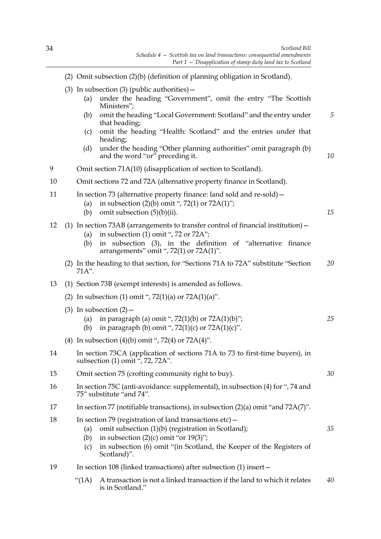*10*

*15*

*30*

- (2) Omit subsection (2)(b) (definition of planning obligation in Scotland).
- (3) In subsection (3) (public authorities)  $-$ 
	- (a) under the heading "Government", omit the entry "The Scottish Ministers";
	- (b) omit the heading "Local Government: Scotland" and the entry under that heading;
	- (c) omit the heading "Health: Scotland" and the entries under that heading;
	- (d) under the heading "Other planning authorities" omit paragraph  $(b)$ and the word "or" preceding it.
- 9 Omit section 71A(10) (disapplication of section to Scotland).
- 10 Omit sections 72 and 72A (alternative property finance in Scotland).
- 11 In section 73 (alternative property finance: land sold and re-sold)
	- (a) in subsection  $(2)(b)$  omit ", 72(1) or 72A(1)";
	- (b) omit subsection  $(5)(b)(ii)$ .
- 12 (1) In section 73AB (arrangements to transfer control of financial institution)  $-$ 
	- (a) in subsection (1) omit ", 72 or 72A";
	- (b) in subsection  $(3)$ , in the definition of "alternative finance arrangements" omit ",  $72(1)$  or  $72A(1)$ ".
	- (2) In the heading to that section, for "Sections 71A to 72A" substitute "Section 71A". *20*
- 13 (1) Section 73B (exempt interests) is amended as follows.
	- (2) In subsection (1) omit ",  $72(1)(a)$  or  $72A(1)(a)$ ".
	- (3) In subsection  $(2)$ 
		- (a) in paragraph (a) omit ",  $72(1)(b)$  or  $72A(1)(b)$ "; *25*
		- (b) in paragraph (b) omit ",  $72(1)(c)$  or  $72A(1)(c)$ ".
	- (4) In subsection (4)(b) omit ", 72(4) or  $72A(4)$ ".
- 14 In section 73CA (application of sections 71A to 73 to first-time buyers), in subsection  $(1)$  omit ", 72, 72A".
- 15 Omit section 75 (crofting community right to buy).
- 16 In section 75C (anti-avoidance: supplemental), in subsection (4) for ", 74 and 75" substitute "and 74".
- 17 In section 77 (notifiable transactions), in subsection  $(2)(a)$  omit "and 72A(7)".
- 18 In section 79 (registration of land transactions etc)  $-$ 
	- (a) omit subsection (1)(b) (registration in Scotland);
	- (b) in subsection  $(2)(c)$  omit "or  $19(3)$ ";
	- (c) in subsection  $(6)$  omit "(in Scotland, the Keeper of the Registers of Scotland)".
- 19 In section 108 (linked transactions) after subsection (1) insert
	- $\lq$ (1A) A transaction is not a linked transaction if the land to which it relates is in Scotland." *40*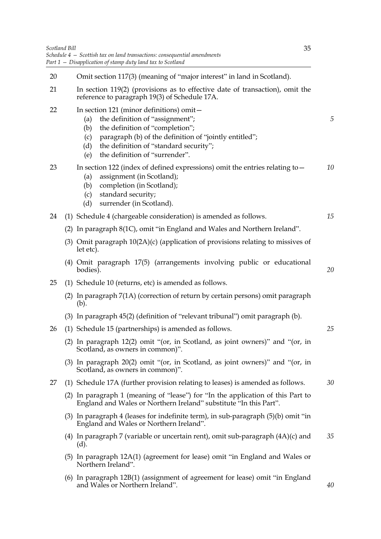| Scotland Bill | 35<br>Schedule $4$ – Scottish tax on land transactions: consequential amendments<br>Part 1 - Disapplication of stamp duty land tax to Scotland                                                                                                                                          |
|---------------|-----------------------------------------------------------------------------------------------------------------------------------------------------------------------------------------------------------------------------------------------------------------------------------------|
| 20            | Omit section 117(3) (meaning of "major interest" in land in Scotland).                                                                                                                                                                                                                  |
| 21            | In section 119(2) (provisions as to effective date of transaction), omit the<br>reference to paragraph 19(3) of Schedule 17A.                                                                                                                                                           |
| 22            | In section 121 (minor definitions) omit-<br>the definition of "assignment";<br>(a)<br>the definition of "completion";<br>(b)<br>paragraph (b) of the definition of "jointly entitled";<br>(c)<br>the definition of "standard security";<br>(d)<br>the definition of "surrender".<br>(e) |
| 23            | In section 122 (index of defined expressions) omit the entries relating to $-$<br>assignment (in Scotland);<br>(a)<br>completion (in Scotland);<br>(b)<br>standard security;<br>(c)<br>surrender (in Scotland).<br>(d)                                                                  |
| 24            | (1) Schedule 4 (chargeable consideration) is amended as follows.                                                                                                                                                                                                                        |
|               | (2) In paragraph 8(1C), omit "in England and Wales and Northern Ireland".                                                                                                                                                                                                               |
|               | (3) Omit paragraph $10(2A)(c)$ (application of provisions relating to missives of<br>let etc).                                                                                                                                                                                          |
|               | (4) Omit paragraph 17(5) (arrangements involving public or educational<br>bodies).                                                                                                                                                                                                      |
| 25            | (1) Schedule 10 (returns, etc) is amended as follows.                                                                                                                                                                                                                                   |
|               | (2) In paragraph 7(1A) (correction of return by certain persons) omit paragraph<br>(b).                                                                                                                                                                                                 |
|               | (3) In paragraph 45(2) (definition of "relevant tribunal") omit paragraph (b).                                                                                                                                                                                                          |
| 26            | (1) Schedule 15 (partnerships) is amended as follows.                                                                                                                                                                                                                                   |
|               | (2) In paragraph $12(2)$ omit "(or, in Scotland, as joint owners)" and "(or, in<br>Scotland, as owners in common)".                                                                                                                                                                     |
|               | (3) In paragraph $20(2)$ omit "(or, in Scotland, as joint owners)" and "(or, in<br>Scotland, as owners in common)".                                                                                                                                                                     |
| 27            | (1) Schedule 17A (further provision relating to leases) is amended as follows.                                                                                                                                                                                                          |
|               | (2) In paragraph 1 (meaning of "lease") for "In the application of this Part to<br>England and Wales or Northern Ireland" substitute "In this Part".                                                                                                                                    |
|               | (3) In paragraph 4 (leases for indefinite term), in sub-paragraph $(5)(b)$ omit "in<br>England and Wales or Northern Ireland".                                                                                                                                                          |
|               | (4) In paragraph 7 (variable or uncertain rent), omit sub-paragraph $(4A)(c)$ and<br>(d).                                                                                                                                                                                               |
|               | (5) In paragraph 12A(1) (agreement for lease) omit "in England and Wales or<br>Northern Ireland".                                                                                                                                                                                       |
|               | (6) In paragraph 12B(1) (assignment of agreement for lease) omit "in England<br>and Wales or Northern Ireland".                                                                                                                                                                         |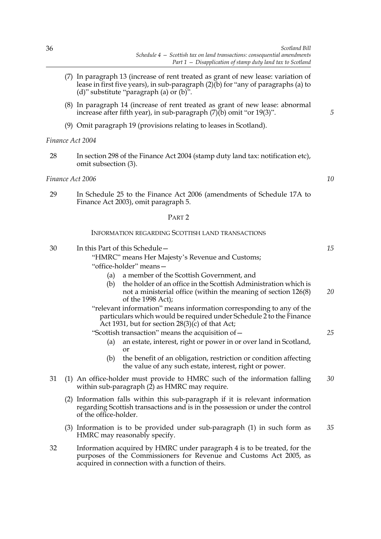*10*

- (7) In paragraph 13 (increase of rent treated as grant of new lease: variation of lease in first five years), in sub-paragraph  $(2)$ (b) for "any of paragraphs (a) to (d)" substitute "paragraph (a) or  $(b)$ ".
- (8) In paragraph 14 (increase of rent treated as grant of new lease: abnormal increase after fifth year), in sub-paragraph  $(7)(b)$  omit "or 19(3)".
- (9) Omit paragraph 19 (provisions relating to leases in Scotland).

### *Finance Act 2004*

28 In section 298 of the Finance Act 2004 (stamp duty land tax: notification etc), omit subsection (3).

### *Finance Act 2006*

29 In Schedule 25 to the Finance Act 2006 (amendments of Schedule 17A to Finance Act 2003), omit paragraph 5.

### PART 2

### INFORMATION REGARDING SCOTTISH LAND TRANSACTIONS

| 30 | In this Part of this Schedule -                                                                                                                                                                     | 15 |  |  |  |  |
|----|-----------------------------------------------------------------------------------------------------------------------------------------------------------------------------------------------------|----|--|--|--|--|
|    | "HMRC" means Her Majesty's Revenue and Customs;                                                                                                                                                     |    |  |  |  |  |
|    | "office-holder" means-                                                                                                                                                                              |    |  |  |  |  |
|    | a member of the Scottish Government, and<br>(a)                                                                                                                                                     |    |  |  |  |  |
|    | the holder of an office in the Scottish Administration which is<br>(b)<br>not a ministerial office (within the meaning of section 126(8)<br>of the 1998 Act);                                       | 20 |  |  |  |  |
|    | "relevant information" means information corresponding to any of the<br>particulars which would be required under Schedule 2 to the Finance<br>Act 1931, but for section $28(3)(c)$ of that Act;    |    |  |  |  |  |
|    | "Scottish transaction" means the acquisition of -                                                                                                                                                   | 25 |  |  |  |  |
|    | an estate, interest, right or power in or over land in Scotland,<br>(a)<br><b>or</b>                                                                                                                |    |  |  |  |  |
|    | the benefit of an obligation, restriction or condition affecting<br>(b)<br>the value of any such estate, interest, right or power.                                                                  |    |  |  |  |  |
| 31 | (1) An office-holder must provide to HMRC such of the information falling<br>within sub-paragraph (2) as HMRC may require.                                                                          | 30 |  |  |  |  |
|    | (2) Information falls within this sub-paragraph if it is relevant information<br>regarding Scottish transactions and is in the possession or under the control<br>of the office-holder.             |    |  |  |  |  |
|    | (3) Information is to be provided under sub-paragraph (1) in such form as<br>HMRC may reasonably specify.                                                                                           | 35 |  |  |  |  |
| 32 | Information acquired by HMRC under paragraph 4 is to be treated, for the<br>purposes of the Commissioners for Revenue and Customs Act 2005, as<br>acquired in connection with a function of theirs. |    |  |  |  |  |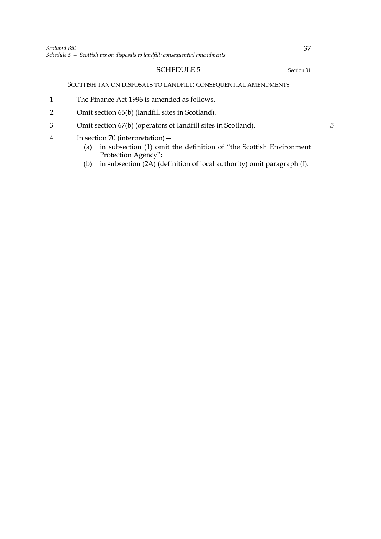### <span id="page-42-0"></span>SCOTTISH TAX ON DISPOSALS TO LANDFILL: CONSEQUENTIAL AMENDMENTS

- 1 The Finance Act 1996 is amended as follows.
- 2 Omit section 66(b) (landfill sites in Scotland).
- 3 Omit section 67(b) (operators of landfill sites in Scotland).
- 4 In section 70 (interpretation)
	- (a) in subsection  $(1)$  omit the definition of "the Scottish Environment Protection Agency";
	- (b) in subsection (2A) (definition of local authority) omit paragraph (f).